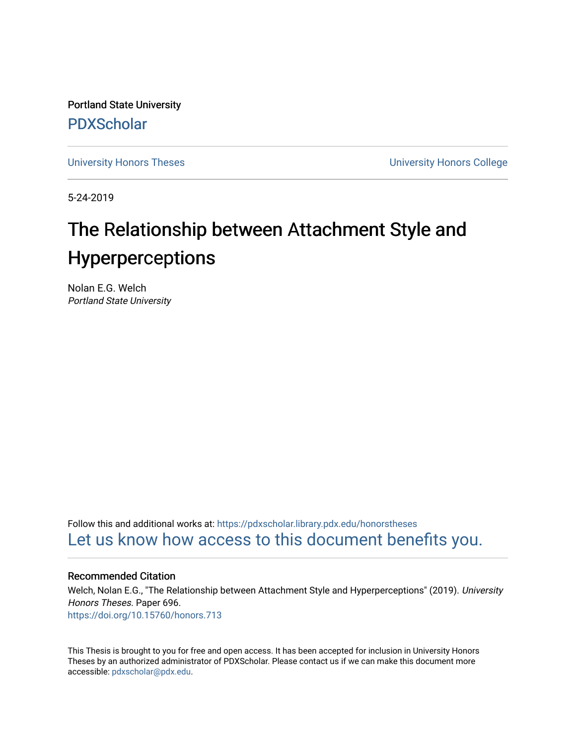Portland State University [PDXScholar](https://pdxscholar.library.pdx.edu/)

[University Honors Theses](https://pdxscholar.library.pdx.edu/honorstheses) [University Honors College](https://pdxscholar.library.pdx.edu/honors) 

5-24-2019

# The Relationship between Attachment Style and **Hyperperceptions**

Nolan E.G. Welch Portland State University

Follow this and additional works at: [https://pdxscholar.library.pdx.edu/honorstheses](https://pdxscholar.library.pdx.edu/honorstheses?utm_source=pdxscholar.library.pdx.edu%2Fhonorstheses%2F696&utm_medium=PDF&utm_campaign=PDFCoverPages)  [Let us know how access to this document benefits you.](http://library.pdx.edu/services/pdxscholar-services/pdxscholar-feedback/) 

#### Recommended Citation

Welch, Nolan E.G., "The Relationship between Attachment Style and Hyperperceptions" (2019). University Honors Theses. Paper 696. <https://doi.org/10.15760/honors.713>

This Thesis is brought to you for free and open access. It has been accepted for inclusion in University Honors Theses by an authorized administrator of PDXScholar. Please contact us if we can make this document more accessible: [pdxscholar@pdx.edu.](mailto:pdxscholar@pdx.edu)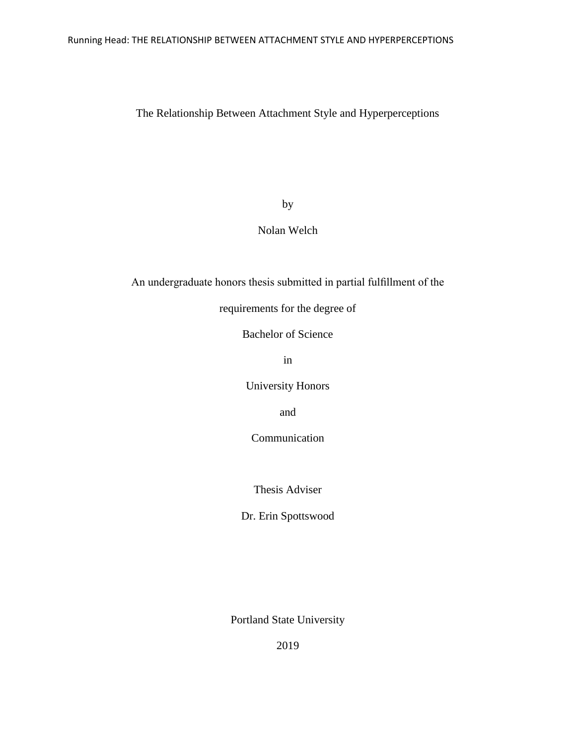# The Relationship Between Attachment Style and Hyperperceptions

by

# Nolan Welch

An undergraduate honors thesis submitted in partial fulfillment of the

requirements for the degree of

Bachelor of Science

in

University Honors

and

Communication

Thesis Adviser

Dr. Erin Spottswood

Portland State University

2019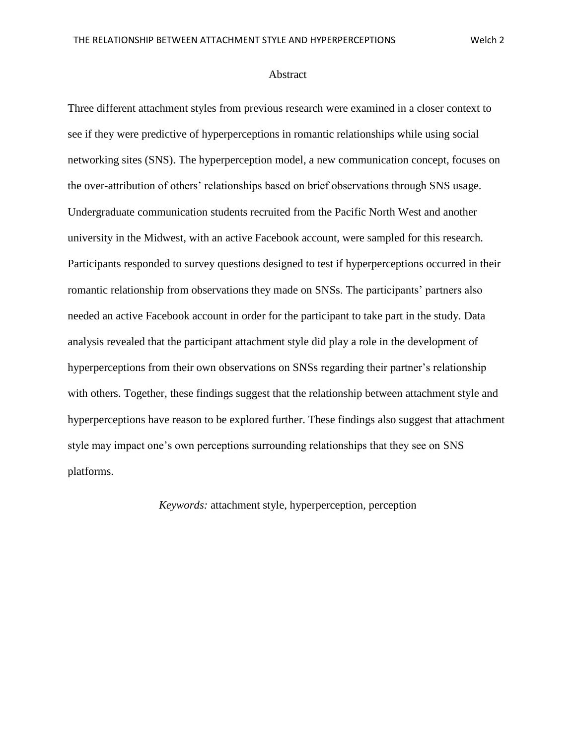#### Abstract

Three different attachment styles from previous research were examined in a closer context to see if they were predictive of hyperperceptions in romantic relationships while using social networking sites (SNS). The hyperperception model, a new communication concept, focuses on the over-attribution of others' relationships based on brief observations through SNS usage. Undergraduate communication students recruited from the Pacific North West and another university in the Midwest, with an active Facebook account, were sampled for this research. Participants responded to survey questions designed to test if hyperperceptions occurred in their romantic relationship from observations they made on SNSs. The participants' partners also needed an active Facebook account in order for the participant to take part in the study. Data analysis revealed that the participant attachment style did play a role in the development of hyperperceptions from their own observations on SNSs regarding their partner's relationship with others. Together, these findings suggest that the relationship between attachment style and hyperperceptions have reason to be explored further. These findings also suggest that attachment style may impact one's own perceptions surrounding relationships that they see on SNS platforms.

*Keywords:* attachment style, hyperperception, perception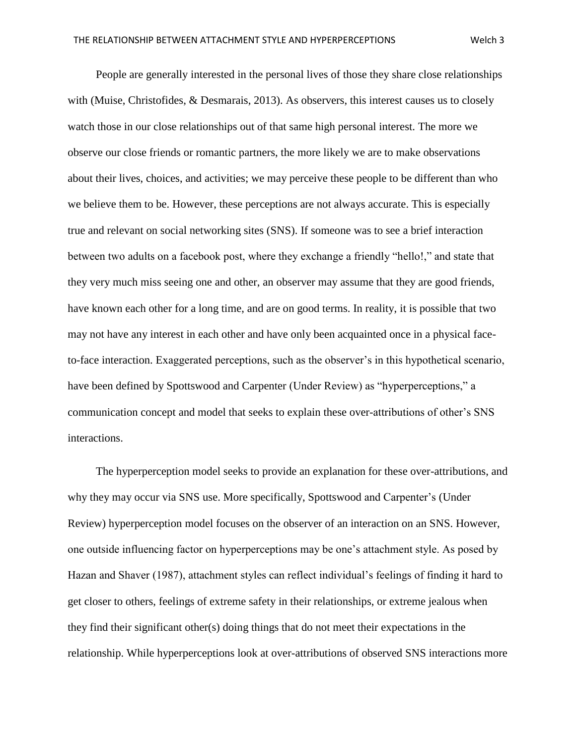People are generally interested in the personal lives of those they share close relationships with (Muise, Christofides, & Desmarais, 2013). As observers, this interest causes us to closely watch those in our close relationships out of that same high personal interest. The more we observe our close friends or romantic partners, the more likely we are to make observations about their lives, choices, and activities; we may perceive these people to be different than who we believe them to be. However, these perceptions are not always accurate. This is especially true and relevant on social networking sites (SNS). If someone was to see a brief interaction between two adults on a facebook post, where they exchange a friendly "hello!," and state that they very much miss seeing one and other, an observer may assume that they are good friends, have known each other for a long time, and are on good terms. In reality, it is possible that two may not have any interest in each other and have only been acquainted once in a physical faceto-face interaction. Exaggerated perceptions, such as the observer's in this hypothetical scenario, have been defined by Spottswood and Carpenter (Under Review) as "hyperperceptions," a communication concept and model that seeks to explain these over-attributions of other's SNS interactions.

 The hyperperception model seeks to provide an explanation for these over-attributions, and why they may occur via SNS use. More specifically, Spottswood and Carpenter's (Under Review) hyperperception model focuses on the observer of an interaction on an SNS. However, one outside influencing factor on hyperperceptions may be one's attachment style. As posed by Hazan and Shaver (1987), attachment styles can reflect individual's feelings of finding it hard to get closer to others, feelings of extreme safety in their relationships, or extreme jealous when they find their significant other(s) doing things that do not meet their expectations in the relationship. While hyperperceptions look at over-attributions of observed SNS interactions more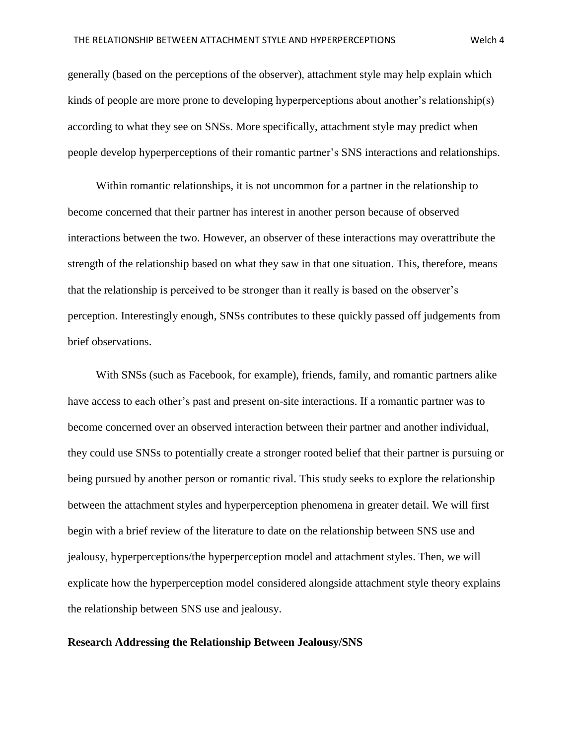generally (based on the perceptions of the observer), attachment style may help explain which kinds of people are more prone to developing hyperperceptions about another's relationship(s) according to what they see on SNSs. More specifically, attachment style may predict when people develop hyperperceptions of their romantic partner's SNS interactions and relationships.

 Within romantic relationships, it is not uncommon for a partner in the relationship to become concerned that their partner has interest in another person because of observed interactions between the two. However, an observer of these interactions may overattribute the strength of the relationship based on what they saw in that one situation. This, therefore, means that the relationship is perceived to be stronger than it really is based on the observer's perception. Interestingly enough, SNSs contributes to these quickly passed off judgements from brief observations.

 With SNSs (such as Facebook, for example), friends, family, and romantic partners alike have access to each other's past and present on-site interactions. If a romantic partner was to become concerned over an observed interaction between their partner and another individual, they could use SNSs to potentially create a stronger rooted belief that their partner is pursuing or being pursued by another person or romantic rival. This study seeks to explore the relationship between the attachment styles and hyperperception phenomena in greater detail. We will first begin with a brief review of the literature to date on the relationship between SNS use and jealousy, hyperperceptions/the hyperperception model and attachment styles. Then, we will explicate how the hyperperception model considered alongside attachment style theory explains the relationship between SNS use and jealousy.

#### **Research Addressing the Relationship Between Jealousy/SNS**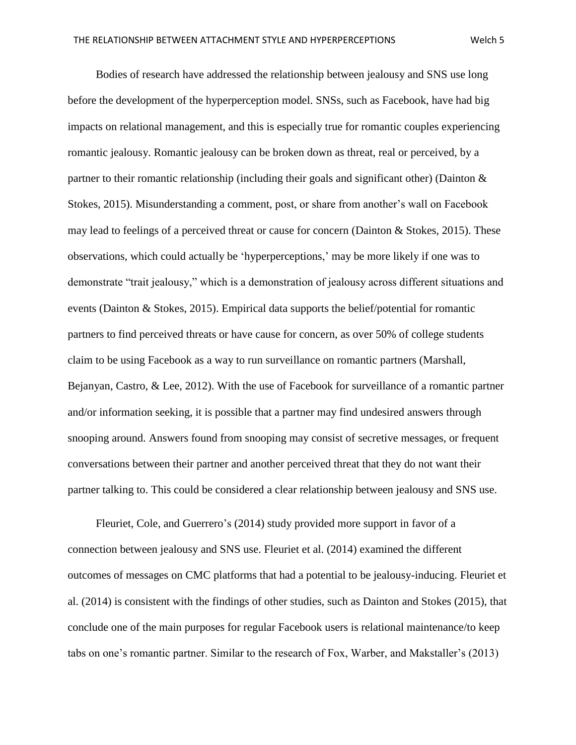Bodies of research have addressed the relationship between jealousy and SNS use long before the development of the hyperperception model. SNSs, such as Facebook, have had big impacts on relational management, and this is especially true for romantic couples experiencing romantic jealousy. Romantic jealousy can be broken down as threat, real or perceived, by a partner to their romantic relationship (including their goals and significant other) (Dainton & Stokes, 2015). Misunderstanding a comment, post, or share from another's wall on Facebook may lead to feelings of a perceived threat or cause for concern (Dainton & Stokes, 2015). These observations, which could actually be 'hyperperceptions,' may be more likely if one was to demonstrate "trait jealousy," which is a demonstration of jealousy across different situations and events (Dainton & Stokes, 2015). Empirical data supports the belief/potential for romantic partners to find perceived threats or have cause for concern, as over 50% of college students claim to be using Facebook as a way to run surveillance on romantic partners (Marshall, Bejanyan, Castro, & Lee, 2012). With the use of Facebook for surveillance of a romantic partner and/or information seeking, it is possible that a partner may find undesired answers through snooping around. Answers found from snooping may consist of secretive messages, or frequent conversations between their partner and another perceived threat that they do not want their partner talking to. This could be considered a clear relationship between jealousy and SNS use.

 Fleuriet, Cole, and Guerrero's (2014) study provided more support in favor of a connection between jealousy and SNS use. Fleuriet et al. (2014) examined the different outcomes of messages on CMC platforms that had a potential to be jealousy-inducing. Fleuriet et al. (2014) is consistent with the findings of other studies, such as Dainton and Stokes (2015), that conclude one of the main purposes for regular Facebook users is relational maintenance/to keep tabs on one's romantic partner. Similar to the research of Fox, Warber, and Makstaller's (2013)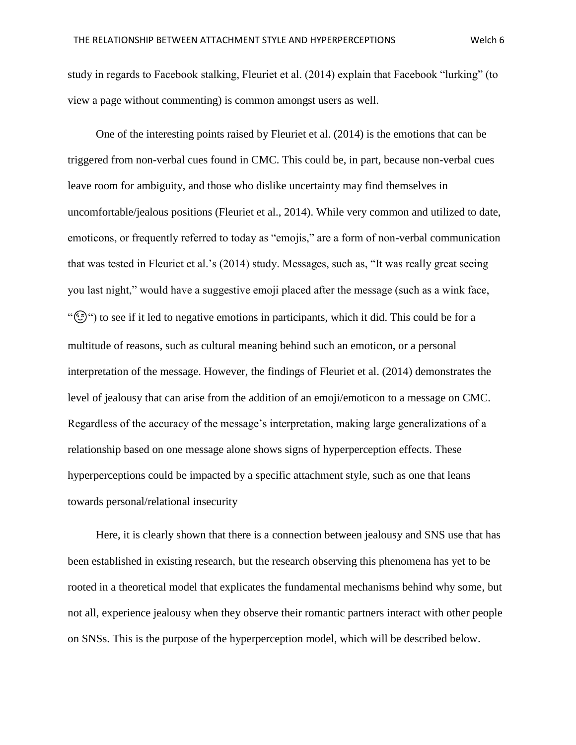study in regards to Facebook stalking, Fleuriet et al. (2014) explain that Facebook "lurking" (to view a page without commenting) is common amongst users as well.

 One of the interesting points raised by Fleuriet et al. (2014) is the emotions that can be triggered from non-verbal cues found in CMC. This could be, in part, because non-verbal cues leave room for ambiguity, and those who dislike uncertainty may find themselves in uncomfortable/jealous positions (Fleuriet et al., 2014). While very common and utilized to date, emoticons, or frequently referred to today as "emojis," are a form of non-verbal communication that was tested in Fleuriet et al.'s (2014) study. Messages, such as, "It was really great seeing you last night," would have a suggestive emoji placed after the message (such as a wink face, "") to see if it led to negative emotions in participants, which it did. This could be for a multitude of reasons, such as cultural meaning behind such an emoticon, or a personal interpretation of the message. However, the findings of Fleuriet et al. (2014) demonstrates the level of jealousy that can arise from the addition of an emoji/emoticon to a message on CMC. Regardless of the accuracy of the message's interpretation, making large generalizations of a relationship based on one message alone shows signs of hyperperception effects. These hyperperceptions could be impacted by a specific attachment style, such as one that leans towards personal/relational insecurity

 Here, it is clearly shown that there is a connection between jealousy and SNS use that has been established in existing research, but the research observing this phenomena has yet to be rooted in a theoretical model that explicates the fundamental mechanisms behind why some, but not all, experience jealousy when they observe their romantic partners interact with other people on SNSs. This is the purpose of the hyperperception model, which will be described below.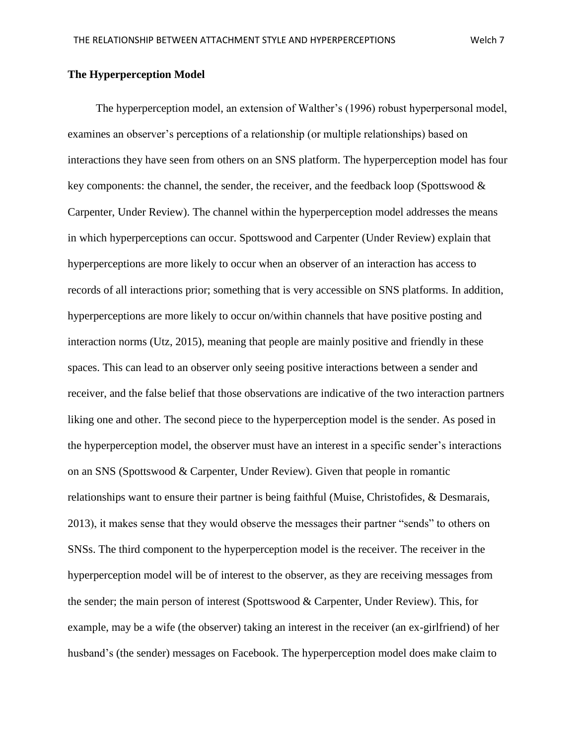# **The Hyperperception Model**

 The hyperperception model, an extension of Walther's (1996) robust hyperpersonal model, examines an observer's perceptions of a relationship (or multiple relationships) based on interactions they have seen from others on an SNS platform. The hyperperception model has four key components: the channel, the sender, the receiver, and the feedback loop (Spottswood  $\&$ Carpenter, Under Review). The channel within the hyperperception model addresses the means in which hyperperceptions can occur. Spottswood and Carpenter (Under Review) explain that hyperperceptions are more likely to occur when an observer of an interaction has access to records of all interactions prior; something that is very accessible on SNS platforms. In addition, hyperperceptions are more likely to occur on/within channels that have positive posting and interaction norms (Utz, 2015), meaning that people are mainly positive and friendly in these spaces. This can lead to an observer only seeing positive interactions between a sender and receiver, and the false belief that those observations are indicative of the two interaction partners liking one and other. The second piece to the hyperperception model is the sender. As posed in the hyperperception model, the observer must have an interest in a specific sender's interactions on an SNS (Spottswood & Carpenter, Under Review). Given that people in romantic relationships want to ensure their partner is being faithful (Muise, Christofides, & Desmarais, 2013), it makes sense that they would observe the messages their partner "sends" to others on SNSs. The third component to the hyperperception model is the receiver. The receiver in the hyperperception model will be of interest to the observer, as they are receiving messages from the sender; the main person of interest (Spottswood & Carpenter, Under Review). This, for example, may be a wife (the observer) taking an interest in the receiver (an ex-girlfriend) of her husband's (the sender) messages on Facebook. The hyperperception model does make claim to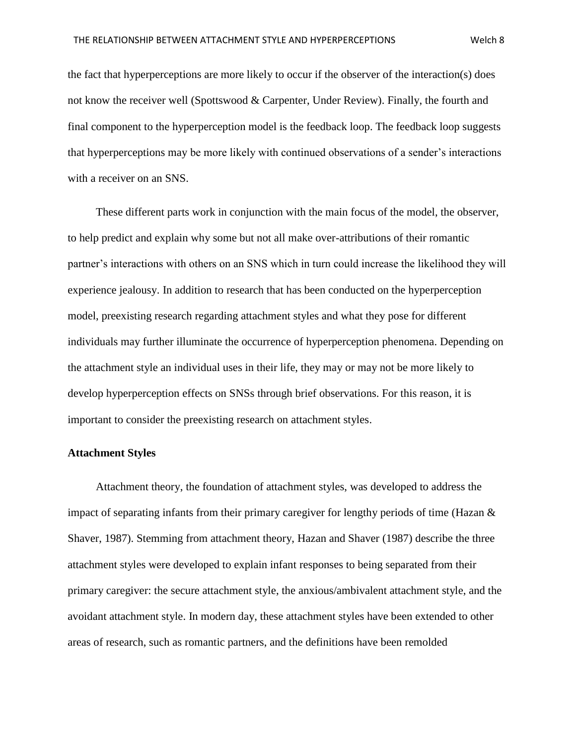the fact that hyperperceptions are more likely to occur if the observer of the interaction(s) does not know the receiver well (Spottswood & Carpenter, Under Review). Finally, the fourth and final component to the hyperperception model is the feedback loop. The feedback loop suggests that hyperperceptions may be more likely with continued observations of a sender's interactions with a receiver on an SNS.

 These different parts work in conjunction with the main focus of the model, the observer, to help predict and explain why some but not all make over-attributions of their romantic partner's interactions with others on an SNS which in turn could increase the likelihood they will experience jealousy. In addition to research that has been conducted on the hyperperception model, preexisting research regarding attachment styles and what they pose for different individuals may further illuminate the occurrence of hyperperception phenomena. Depending on the attachment style an individual uses in their life, they may or may not be more likely to develop hyperperception effects on SNSs through brief observations. For this reason, it is important to consider the preexisting research on attachment styles.

#### **Attachment Styles**

 Attachment theory, the foundation of attachment styles, was developed to address the impact of separating infants from their primary caregiver for lengthy periods of time (Hazan & Shaver, 1987). Stemming from attachment theory, Hazan and Shaver (1987) describe the three attachment styles were developed to explain infant responses to being separated from their primary caregiver: the secure attachment style, the anxious/ambivalent attachment style, and the avoidant attachment style. In modern day, these attachment styles have been extended to other areas of research, such as romantic partners, and the definitions have been remolded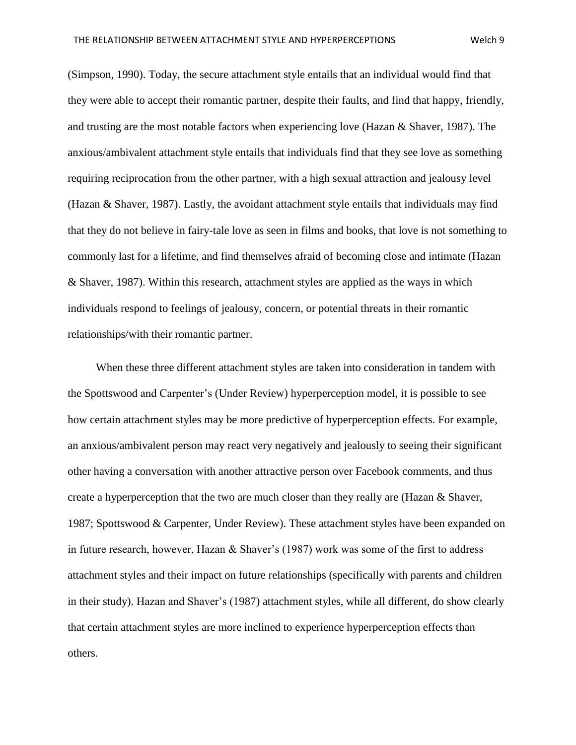(Simpson, 1990). Today, the secure attachment style entails that an individual would find that they were able to accept their romantic partner, despite their faults, and find that happy, friendly, and trusting are the most notable factors when experiencing love (Hazan & Shaver, 1987). The anxious/ambivalent attachment style entails that individuals find that they see love as something requiring reciprocation from the other partner, with a high sexual attraction and jealousy level (Hazan & Shaver, 1987). Lastly, the avoidant attachment style entails that individuals may find that they do not believe in fairy-tale love as seen in films and books, that love is not something to commonly last for a lifetime, and find themselves afraid of becoming close and intimate (Hazan & Shaver, 1987). Within this research, attachment styles are applied as the ways in which individuals respond to feelings of jealousy, concern, or potential threats in their romantic relationships/with their romantic partner.

 When these three different attachment styles are taken into consideration in tandem with the Spottswood and Carpenter's (Under Review) hyperperception model, it is possible to see how certain attachment styles may be more predictive of hyperperception effects. For example, an anxious/ambivalent person may react very negatively and jealously to seeing their significant other having a conversation with another attractive person over Facebook comments, and thus create a hyperperception that the two are much closer than they really are (Hazan & Shaver, 1987; Spottswood & Carpenter, Under Review). These attachment styles have been expanded on in future research, however, Hazan & Shaver's (1987) work was some of the first to address attachment styles and their impact on future relationships (specifically with parents and children in their study). Hazan and Shaver's (1987) attachment styles, while all different, do show clearly that certain attachment styles are more inclined to experience hyperperception effects than others.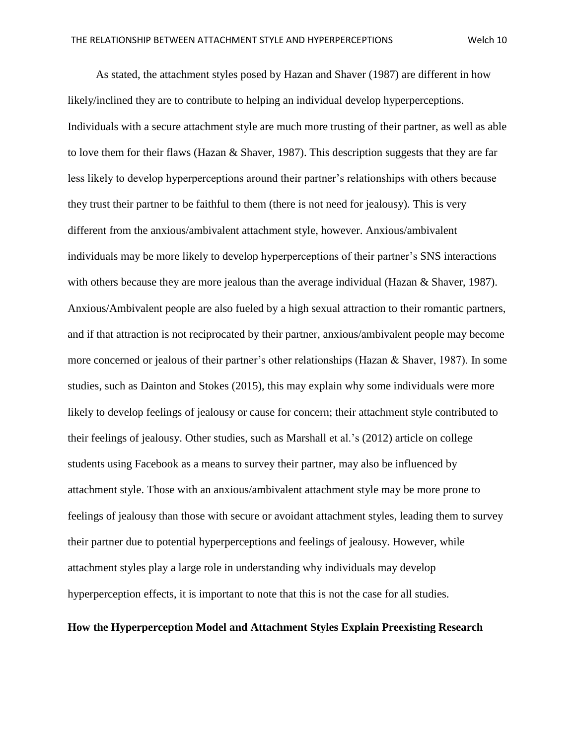As stated, the attachment styles posed by Hazan and Shaver (1987) are different in how likely/inclined they are to contribute to helping an individual develop hyperperceptions. Individuals with a secure attachment style are much more trusting of their partner, as well as able to love them for their flaws (Hazan & Shaver, 1987). This description suggests that they are far less likely to develop hyperperceptions around their partner's relationships with others because they trust their partner to be faithful to them (there is not need for jealousy). This is very different from the anxious/ambivalent attachment style, however. Anxious/ambivalent individuals may be more likely to develop hyperperceptions of their partner's SNS interactions with others because they are more jealous than the average individual (Hazan & Shaver, 1987). Anxious/Ambivalent people are also fueled by a high sexual attraction to their romantic partners, and if that attraction is not reciprocated by their partner, anxious/ambivalent people may become more concerned or jealous of their partner's other relationships (Hazan & Shaver, 1987). In some studies, such as Dainton and Stokes (2015), this may explain why some individuals were more likely to develop feelings of jealousy or cause for concern; their attachment style contributed to their feelings of jealousy. Other studies, such as Marshall et al.'s (2012) article on college students using Facebook as a means to survey their partner, may also be influenced by attachment style. Those with an anxious/ambivalent attachment style may be more prone to feelings of jealousy than those with secure or avoidant attachment styles, leading them to survey their partner due to potential hyperperceptions and feelings of jealousy. However, while attachment styles play a large role in understanding why individuals may develop hyperperception effects, it is important to note that this is not the case for all studies.

# **How the Hyperperception Model and Attachment Styles Explain Preexisting Research**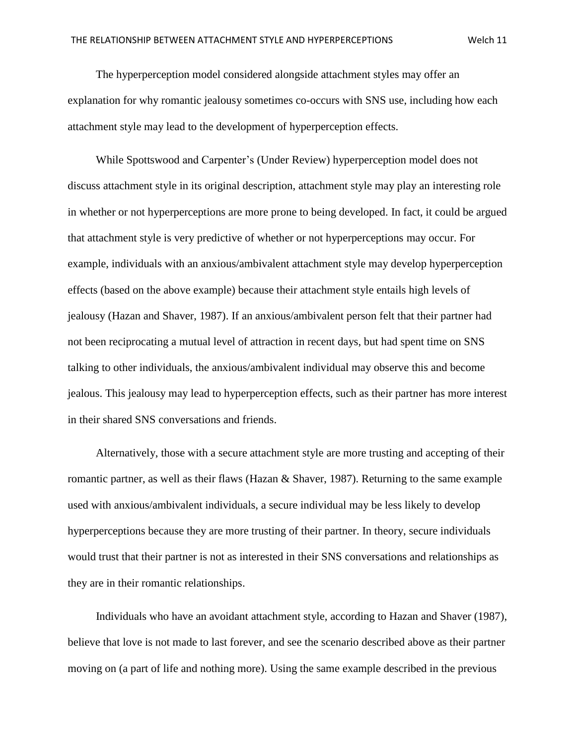The hyperperception model considered alongside attachment styles may offer an explanation for why romantic jealousy sometimes co-occurs with SNS use, including how each attachment style may lead to the development of hyperperception effects.

 While Spottswood and Carpenter's (Under Review) hyperperception model does not discuss attachment style in its original description, attachment style may play an interesting role in whether or not hyperperceptions are more prone to being developed. In fact, it could be argued that attachment style is very predictive of whether or not hyperperceptions may occur. For example, individuals with an anxious/ambivalent attachment style may develop hyperperception effects (based on the above example) because their attachment style entails high levels of jealousy (Hazan and Shaver, 1987). If an anxious/ambivalent person felt that their partner had not been reciprocating a mutual level of attraction in recent days, but had spent time on SNS talking to other individuals, the anxious/ambivalent individual may observe this and become jealous. This jealousy may lead to hyperperception effects, such as their partner has more interest in their shared SNS conversations and friends.

 Alternatively, those with a secure attachment style are more trusting and accepting of their romantic partner, as well as their flaws (Hazan & Shaver, 1987). Returning to the same example used with anxious/ambivalent individuals, a secure individual may be less likely to develop hyperperceptions because they are more trusting of their partner. In theory, secure individuals would trust that their partner is not as interested in their SNS conversations and relationships as they are in their romantic relationships.

 Individuals who have an avoidant attachment style, according to Hazan and Shaver (1987), believe that love is not made to last forever, and see the scenario described above as their partner moving on (a part of life and nothing more). Using the same example described in the previous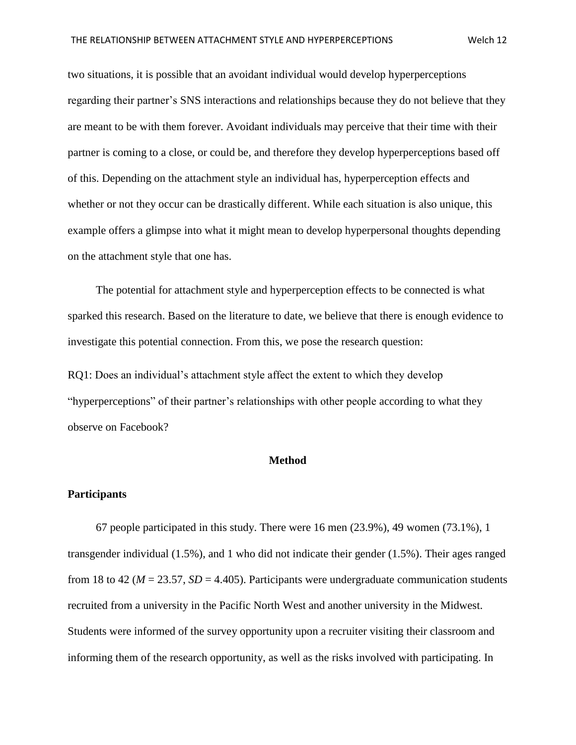two situations, it is possible that an avoidant individual would develop hyperperceptions regarding their partner's SNS interactions and relationships because they do not believe that they are meant to be with them forever. Avoidant individuals may perceive that their time with their partner is coming to a close, or could be, and therefore they develop hyperperceptions based off of this. Depending on the attachment style an individual has, hyperperception effects and whether or not they occur can be drastically different. While each situation is also unique, this example offers a glimpse into what it might mean to develop hyperpersonal thoughts depending on the attachment style that one has.

 The potential for attachment style and hyperperception effects to be connected is what sparked this research. Based on the literature to date, we believe that there is enough evidence to investigate this potential connection. From this, we pose the research question:

RQ1: Does an individual's attachment style affect the extent to which they develop "hyperperceptions" of their partner's relationships with other people according to what they observe on Facebook?

# **Method**

#### **Participants**

 67 people participated in this study. There were 16 men (23.9%), 49 women (73.1%), 1 transgender individual (1.5%), and 1 who did not indicate their gender (1.5%). Their ages ranged from 18 to 42 ( $M = 23.57$ ,  $SD = 4.405$ ). Participants were undergraduate communication students recruited from a university in the Pacific North West and another university in the Midwest. Students were informed of the survey opportunity upon a recruiter visiting their classroom and informing them of the research opportunity, as well as the risks involved with participating. In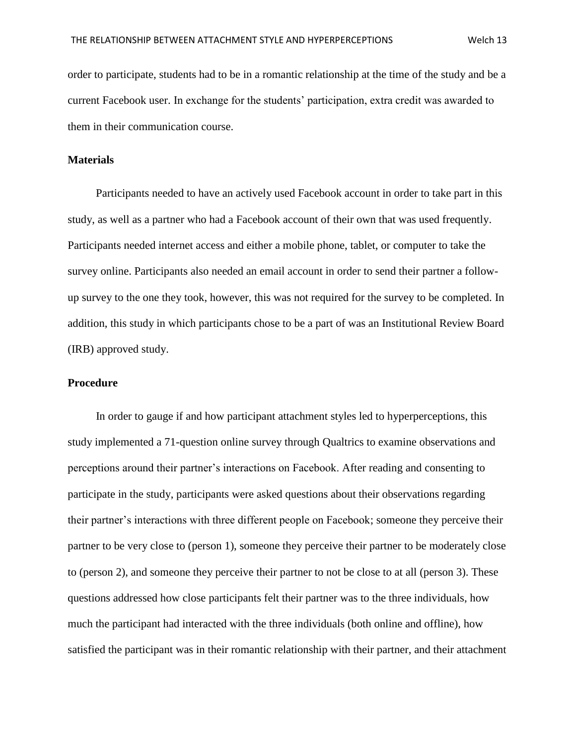order to participate, students had to be in a romantic relationship at the time of the study and be a current Facebook user. In exchange for the students' participation, extra credit was awarded to them in their communication course.

#### **Materials**

 Participants needed to have an actively used Facebook account in order to take part in this study, as well as a partner who had a Facebook account of their own that was used frequently. Participants needed internet access and either a mobile phone, tablet, or computer to take the survey online. Participants also needed an email account in order to send their partner a followup survey to the one they took, however, this was not required for the survey to be completed. In addition, this study in which participants chose to be a part of was an Institutional Review Board (IRB) approved study.

#### **Procedure**

 In order to gauge if and how participant attachment styles led to hyperperceptions, this study implemented a 71-question online survey through Qualtrics to examine observations and perceptions around their partner's interactions on Facebook. After reading and consenting to participate in the study, participants were asked questions about their observations regarding their partner's interactions with three different people on Facebook; someone they perceive their partner to be very close to (person 1), someone they perceive their partner to be moderately close to (person 2), and someone they perceive their partner to not be close to at all (person 3). These questions addressed how close participants felt their partner was to the three individuals, how much the participant had interacted with the three individuals (both online and offline), how satisfied the participant was in their romantic relationship with their partner, and their attachment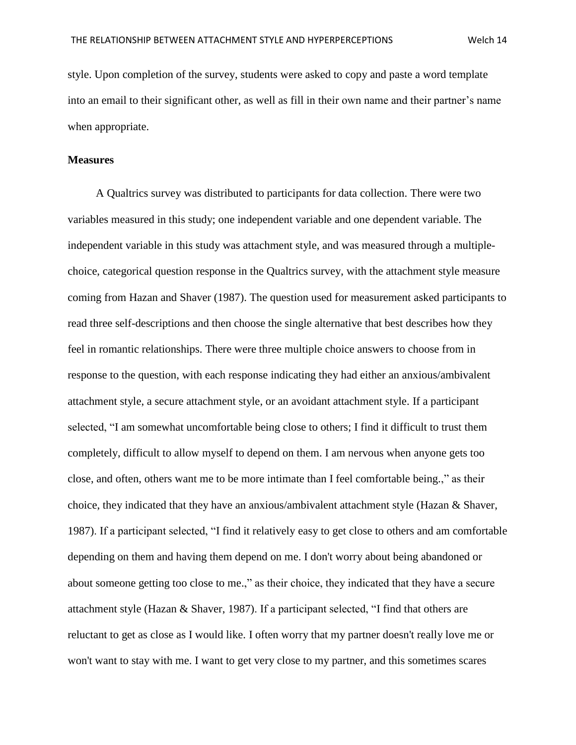style. Upon completion of the survey, students were asked to copy and paste a word template into an email to their significant other, as well as fill in their own name and their partner's name when appropriate.

#### **Measures**

 A Qualtrics survey was distributed to participants for data collection. There were two variables measured in this study; one independent variable and one dependent variable. The independent variable in this study was attachment style, and was measured through a multiplechoice, categorical question response in the Qualtrics survey, with the attachment style measure coming from Hazan and Shaver (1987). The question used for measurement asked participants to read three self-descriptions and then choose the single alternative that best describes how they feel in romantic relationships. There were three multiple choice answers to choose from in response to the question, with each response indicating they had either an anxious/ambivalent attachment style, a secure attachment style, or an avoidant attachment style. If a participant selected, "I am somewhat uncomfortable being close to others; I find it difficult to trust them completely, difficult to allow myself to depend on them. I am nervous when anyone gets too close, and often, others want me to be more intimate than I feel comfortable being.," as their choice, they indicated that they have an anxious/ambivalent attachment style (Hazan & Shaver, 1987). If a participant selected, "I find it relatively easy to get close to others and am comfortable depending on them and having them depend on me. I don't worry about being abandoned or about someone getting too close to me.," as their choice, they indicated that they have a secure attachment style (Hazan & Shaver, 1987). If a participant selected, "I find that others are reluctant to get as close as I would like. I often worry that my partner doesn't really love me or won't want to stay with me. I want to get very close to my partner, and this sometimes scares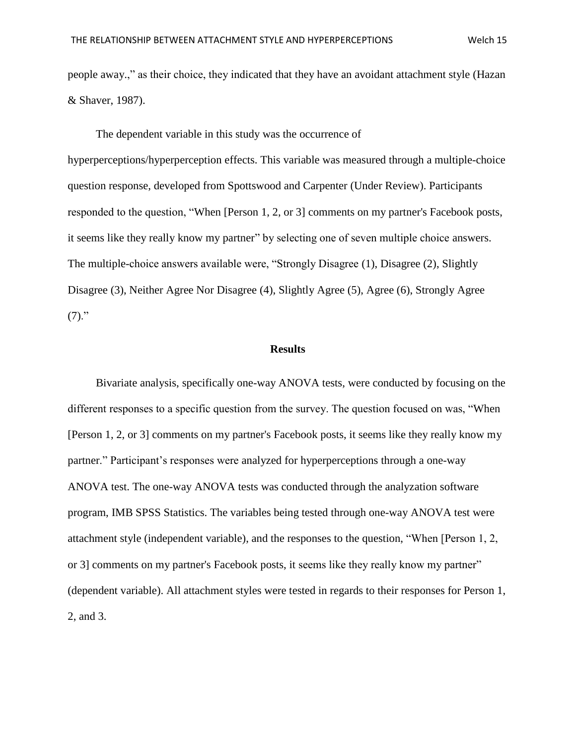people away.," as their choice, they indicated that they have an avoidant attachment style (Hazan & Shaver, 1987).

 The dependent variable in this study was the occurrence of hyperperceptions/hyperperception effects. This variable was measured through a multiple-choice question response, developed from Spottswood and Carpenter (Under Review). Participants responded to the question, "When [Person 1, 2, or 3] comments on my partner's Facebook posts, it seems like they really know my partner" by selecting one of seven multiple choice answers. The multiple-choice answers available were, "Strongly Disagree (1), Disagree (2), Slightly Disagree (3), Neither Agree Nor Disagree (4), Slightly Agree (5), Agree (6), Strongly Agree  $(7)."$ 

#### **Results**

 Bivariate analysis, specifically one-way ANOVA tests, were conducted by focusing on the different responses to a specific question from the survey. The question focused on was, "When [Person 1, 2, or 3] comments on my partner's Facebook posts, it seems like they really know my partner." Participant's responses were analyzed for hyperperceptions through a one-way ANOVA test. The one-way ANOVA tests was conducted through the analyzation software program, IMB SPSS Statistics. The variables being tested through one-way ANOVA test were attachment style (independent variable), and the responses to the question, "When [Person 1, 2, or 3] comments on my partner's Facebook posts, it seems like they really know my partner" (dependent variable). All attachment styles were tested in regards to their responses for Person 1, 2, and 3.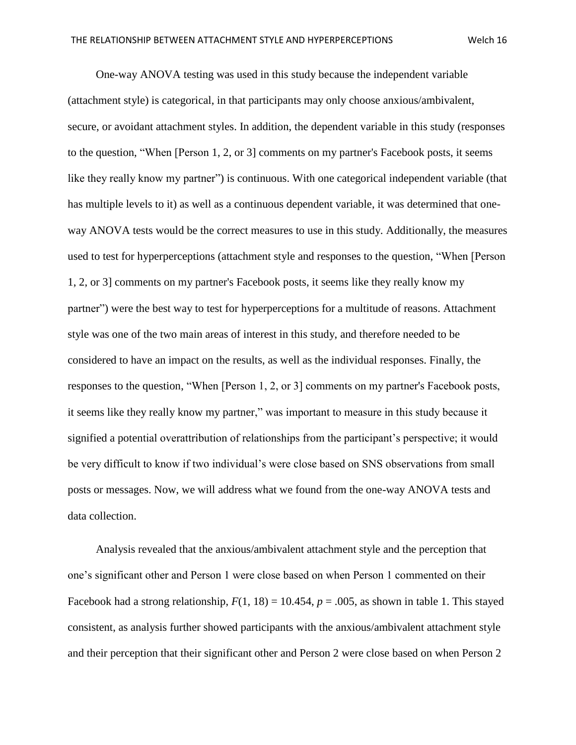One-way ANOVA testing was used in this study because the independent variable (attachment style) is categorical, in that participants may only choose anxious/ambivalent, secure, or avoidant attachment styles. In addition, the dependent variable in this study (responses to the question, "When [Person 1, 2, or 3] comments on my partner's Facebook posts, it seems like they really know my partner") is continuous. With one categorical independent variable (that has multiple levels to it) as well as a continuous dependent variable, it was determined that oneway ANOVA tests would be the correct measures to use in this study. Additionally, the measures used to test for hyperperceptions (attachment style and responses to the question, "When [Person 1, 2, or 3] comments on my partner's Facebook posts, it seems like they really know my partner") were the best way to test for hyperperceptions for a multitude of reasons. Attachment style was one of the two main areas of interest in this study, and therefore needed to be considered to have an impact on the results, as well as the individual responses. Finally, the responses to the question, "When [Person 1, 2, or 3] comments on my partner's Facebook posts, it seems like they really know my partner," was important to measure in this study because it signified a potential overattribution of relationships from the participant's perspective; it would be very difficult to know if two individual's were close based on SNS observations from small posts or messages. Now, we will address what we found from the one-way ANOVA tests and data collection.

 Analysis revealed that the anxious/ambivalent attachment style and the perception that one's significant other and Person 1 were close based on when Person 1 commented on their Facebook had a strong relationship,  $F(1, 18) = 10.454$ ,  $p = .005$ , as shown in table 1. This stayed consistent, as analysis further showed participants with the anxious/ambivalent attachment style and their perception that their significant other and Person 2 were close based on when Person 2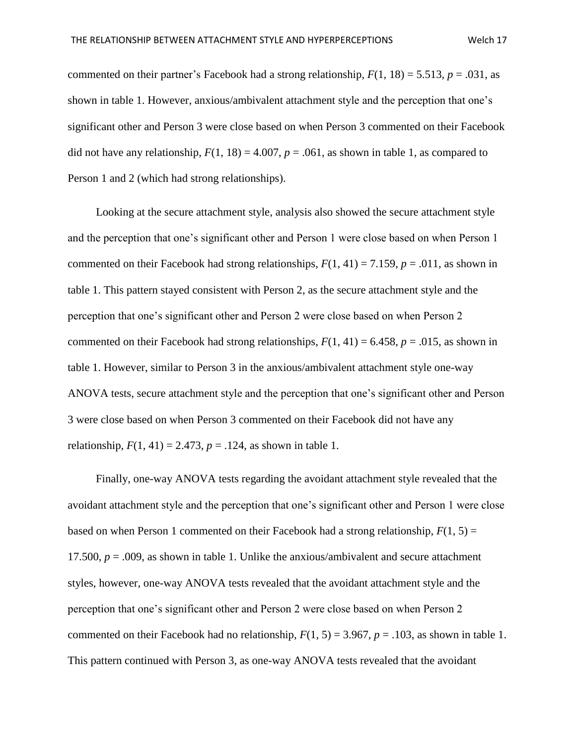commented on their partner's Facebook had a strong relationship,  $F(1, 18) = 5.513$ ,  $p = .031$ , as shown in table 1. However, anxious/ambivalent attachment style and the perception that one's significant other and Person 3 were close based on when Person 3 commented on their Facebook did not have any relationship,  $F(1, 18) = 4.007$ ,  $p = .061$ , as shown in table 1, as compared to Person 1 and 2 (which had strong relationships).

 Looking at the secure attachment style, analysis also showed the secure attachment style and the perception that one's significant other and Person 1 were close based on when Person 1 commented on their Facebook had strong relationships,  $F(1, 41) = 7.159$ ,  $p = .011$ , as shown in table 1. This pattern stayed consistent with Person 2, as the secure attachment style and the perception that one's significant other and Person 2 were close based on when Person 2 commented on their Facebook had strong relationships,  $F(1, 41) = 6.458$ ,  $p = .015$ , as shown in table 1. However, similar to Person 3 in the anxious/ambivalent attachment style one-way ANOVA tests, secure attachment style and the perception that one's significant other and Person 3 were close based on when Person 3 commented on their Facebook did not have any relationship,  $F(1, 41) = 2.473$ ,  $p = .124$ , as shown in table 1.

 Finally, one-way ANOVA tests regarding the avoidant attachment style revealed that the avoidant attachment style and the perception that one's significant other and Person 1 were close based on when Person 1 commented on their Facebook had a strong relationship,  $F(1, 5) =$ 17.500,  $p = .009$ , as shown in table 1. Unlike the anxious/ambivalent and secure attachment styles, however, one-way ANOVA tests revealed that the avoidant attachment style and the perception that one's significant other and Person 2 were close based on when Person 2 commented on their Facebook had no relationship,  $F(1, 5) = 3.967$ ,  $p = .103$ , as shown in table 1. This pattern continued with Person 3, as one-way ANOVA tests revealed that the avoidant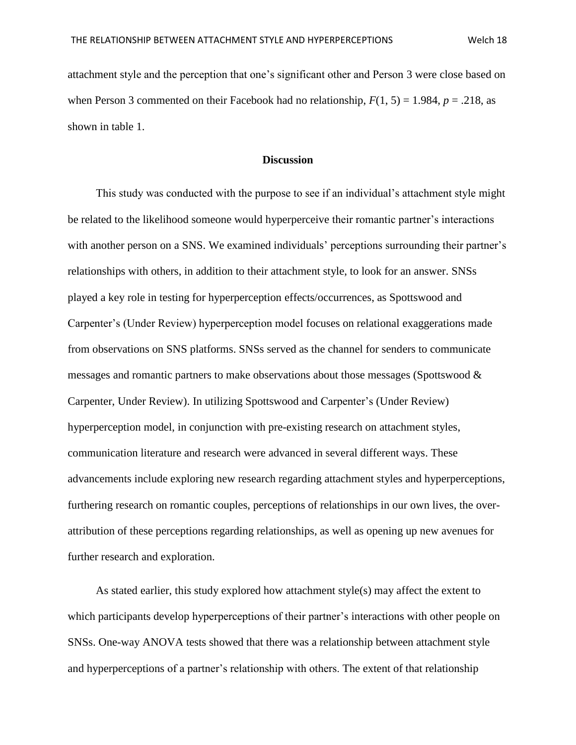attachment style and the perception that one's significant other and Person 3 were close based on when Person 3 commented on their Facebook had no relationship,  $F(1, 5) = 1.984$ ,  $p = .218$ , as shown in table 1.

#### **Discussion**

 This study was conducted with the purpose to see if an individual's attachment style might be related to the likelihood someone would hyperperceive their romantic partner's interactions with another person on a SNS. We examined individuals' perceptions surrounding their partner's relationships with others, in addition to their attachment style, to look for an answer. SNSs played a key role in testing for hyperperception effects/occurrences, as Spottswood and Carpenter's (Under Review) hyperperception model focuses on relational exaggerations made from observations on SNS platforms. SNSs served as the channel for senders to communicate messages and romantic partners to make observations about those messages (Spottswood & Carpenter, Under Review). In utilizing Spottswood and Carpenter's (Under Review) hyperperception model, in conjunction with pre-existing research on attachment styles, communication literature and research were advanced in several different ways. These advancements include exploring new research regarding attachment styles and hyperperceptions, furthering research on romantic couples, perceptions of relationships in our own lives, the overattribution of these perceptions regarding relationships, as well as opening up new avenues for further research and exploration.

As stated earlier, this study explored how attachment  $style(s)$  may affect the extent to which participants develop hyperperceptions of their partner's interactions with other people on SNSs. One-way ANOVA tests showed that there was a relationship between attachment style and hyperperceptions of a partner's relationship with others. The extent of that relationship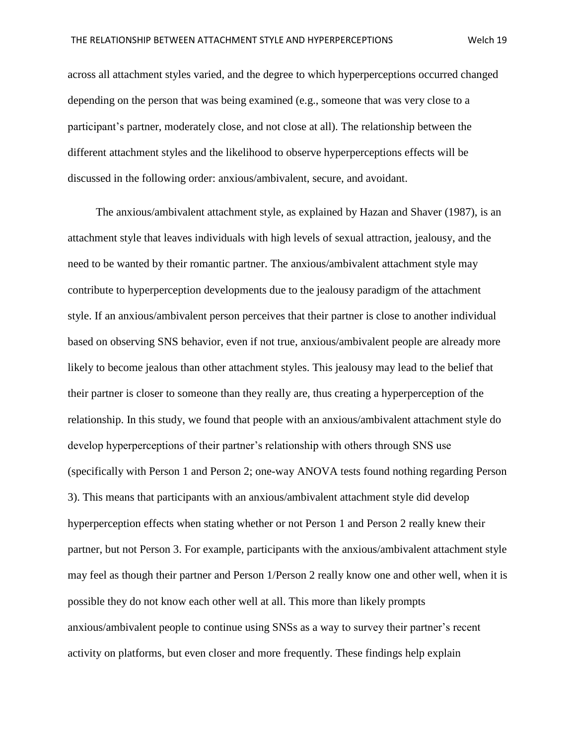across all attachment styles varied, and the degree to which hyperperceptions occurred changed depending on the person that was being examined (e.g., someone that was very close to a participant's partner, moderately close, and not close at all). The relationship between the different attachment styles and the likelihood to observe hyperperceptions effects will be discussed in the following order: anxious/ambivalent, secure, and avoidant.

 The anxious/ambivalent attachment style, as explained by Hazan and Shaver (1987), is an attachment style that leaves individuals with high levels of sexual attraction, jealousy, and the need to be wanted by their romantic partner. The anxious/ambivalent attachment style may contribute to hyperperception developments due to the jealousy paradigm of the attachment style. If an anxious/ambivalent person perceives that their partner is close to another individual based on observing SNS behavior, even if not true, anxious/ambivalent people are already more likely to become jealous than other attachment styles. This jealousy may lead to the belief that their partner is closer to someone than they really are, thus creating a hyperperception of the relationship. In this study, we found that people with an anxious/ambivalent attachment style do develop hyperperceptions of their partner's relationship with others through SNS use (specifically with Person 1 and Person 2; one-way ANOVA tests found nothing regarding Person 3). This means that participants with an anxious/ambivalent attachment style did develop hyperperception effects when stating whether or not Person 1 and Person 2 really knew their partner, but not Person 3. For example, participants with the anxious/ambivalent attachment style may feel as though their partner and Person 1/Person 2 really know one and other well, when it is possible they do not know each other well at all. This more than likely prompts anxious/ambivalent people to continue using SNSs as a way to survey their partner's recent activity on platforms, but even closer and more frequently. These findings help explain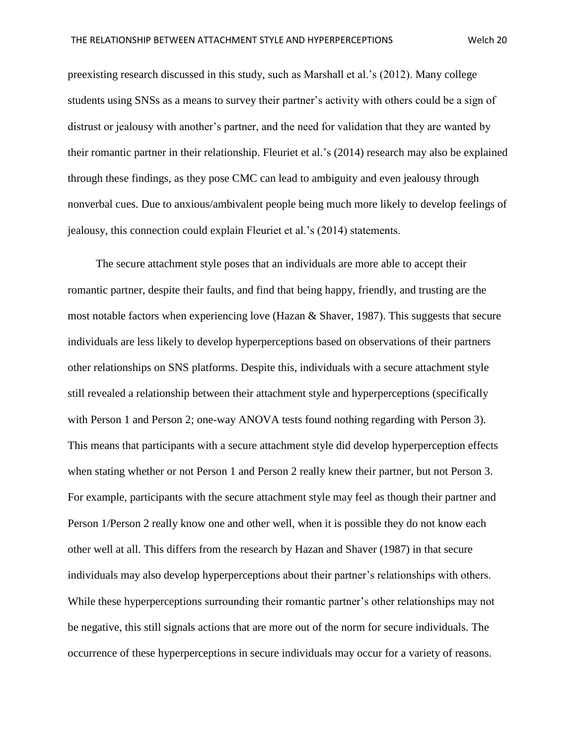preexisting research discussed in this study, such as Marshall et al.'s (2012). Many college students using SNSs as a means to survey their partner's activity with others could be a sign of distrust or jealousy with another's partner, and the need for validation that they are wanted by their romantic partner in their relationship. Fleuriet et al.'s (2014) research may also be explained through these findings, as they pose CMC can lead to ambiguity and even jealousy through nonverbal cues. Due to anxious/ambivalent people being much more likely to develop feelings of jealousy, this connection could explain Fleuriet et al.'s (2014) statements.

 The secure attachment style poses that an individuals are more able to accept their romantic partner, despite their faults, and find that being happy, friendly, and trusting are the most notable factors when experiencing love (Hazan & Shaver, 1987). This suggests that secure individuals are less likely to develop hyperperceptions based on observations of their partners other relationships on SNS platforms. Despite this, individuals with a secure attachment style still revealed a relationship between their attachment style and hyperperceptions (specifically with Person 1 and Person 2; one-way ANOVA tests found nothing regarding with Person 3). This means that participants with a secure attachment style did develop hyperperception effects when stating whether or not Person 1 and Person 2 really knew their partner, but not Person 3. For example, participants with the secure attachment style may feel as though their partner and Person 1/Person 2 really know one and other well, when it is possible they do not know each other well at all. This differs from the research by Hazan and Shaver (1987) in that secure individuals may also develop hyperperceptions about their partner's relationships with others. While these hyperperceptions surrounding their romantic partner's other relationships may not be negative, this still signals actions that are more out of the norm for secure individuals. The occurrence of these hyperperceptions in secure individuals may occur for a variety of reasons.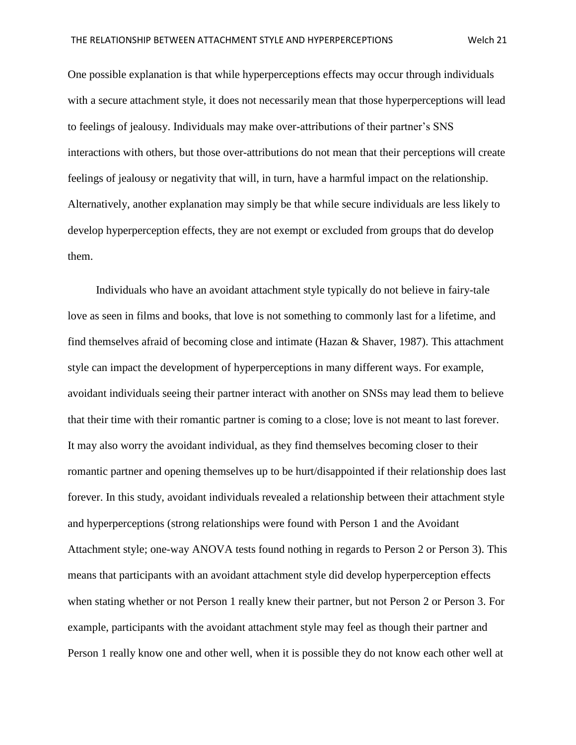One possible explanation is that while hyperperceptions effects may occur through individuals with a secure attachment style, it does not necessarily mean that those hyperperceptions will lead to feelings of jealousy. Individuals may make over-attributions of their partner's SNS interactions with others, but those over-attributions do not mean that their perceptions will create feelings of jealousy or negativity that will, in turn, have a harmful impact on the relationship. Alternatively, another explanation may simply be that while secure individuals are less likely to develop hyperperception effects, they are not exempt or excluded from groups that do develop them.

 Individuals who have an avoidant attachment style typically do not believe in fairy-tale love as seen in films and books, that love is not something to commonly last for a lifetime, and find themselves afraid of becoming close and intimate (Hazan & Shaver, 1987). This attachment style can impact the development of hyperperceptions in many different ways. For example, avoidant individuals seeing their partner interact with another on SNSs may lead them to believe that their time with their romantic partner is coming to a close; love is not meant to last forever. It may also worry the avoidant individual, as they find themselves becoming closer to their romantic partner and opening themselves up to be hurt/disappointed if their relationship does last forever. In this study, avoidant individuals revealed a relationship between their attachment style and hyperperceptions (strong relationships were found with Person 1 and the Avoidant Attachment style; one-way ANOVA tests found nothing in regards to Person 2 or Person 3). This means that participants with an avoidant attachment style did develop hyperperception effects when stating whether or not Person 1 really knew their partner, but not Person 2 or Person 3. For example, participants with the avoidant attachment style may feel as though their partner and Person 1 really know one and other well, when it is possible they do not know each other well at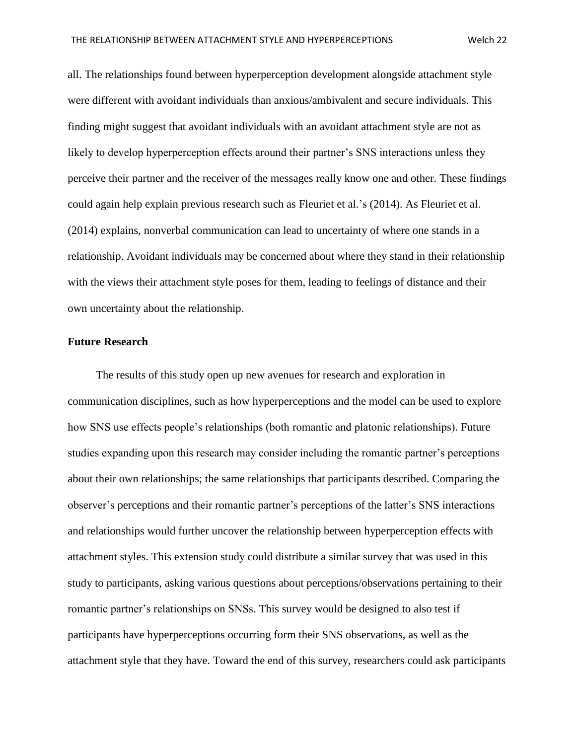all. The relationships found between hyperperception development alongside attachment style were different with avoidant individuals than anxious/ambivalent and secure individuals. This

finding might suggest that avoidant individuals with an avoidant attachment style are not as likely to develop hyperperception effects around their partner's SNS interactions unless they perceive their partner and the receiver of the messages really know one and other. These findings could again help explain previous research such as Fleuriet et al.'s (2014). As Fleuriet et al. (2014) explains, nonverbal communication can lead to uncertainty of where one stands in a relationship. Avoidant individuals may be concerned about where they stand in their relationship with the views their attachment style poses for them, leading to feelings of distance and their own uncertainty about the relationship.

#### **Future Research**

 The results of this study open up new avenues for research and exploration in communication disciplines, such as how hyperperceptions and the model can be used to explore how SNS use effects people's relationships (both romantic and platonic relationships). Future studies expanding upon this research may consider including the romantic partner's perceptions about their own relationships; the same relationships that participants described. Comparing the observer's perceptions and their romantic partner's perceptions of the latter's SNS interactions and relationships would further uncover the relationship between hyperperception effects with attachment styles. This extension study could distribute a similar survey that was used in this study to participants, asking various questions about perceptions/observations pertaining to their romantic partner's relationships on SNSs. This survey would be designed to also test if participants have hyperperceptions occurring form their SNS observations, as well as the attachment style that they have. Toward the end of this survey, researchers could ask participants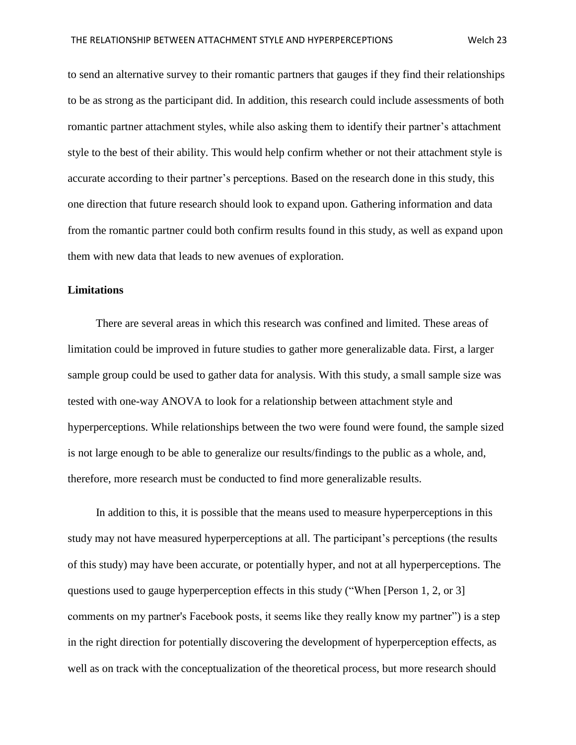to send an alternative survey to their romantic partners that gauges if they find their relationships to be as strong as the participant did. In addition, this research could include assessments of both romantic partner attachment styles, while also asking them to identify their partner's attachment style to the best of their ability. This would help confirm whether or not their attachment style is accurate according to their partner's perceptions. Based on the research done in this study, this one direction that future research should look to expand upon. Gathering information and data from the romantic partner could both confirm results found in this study, as well as expand upon them with new data that leads to new avenues of exploration.

#### **Limitations**

 There are several areas in which this research was confined and limited. These areas of limitation could be improved in future studies to gather more generalizable data. First, a larger sample group could be used to gather data for analysis. With this study, a small sample size was tested with one-way ANOVA to look for a relationship between attachment style and hyperperceptions. While relationships between the two were found were found, the sample sized is not large enough to be able to generalize our results/findings to the public as a whole, and, therefore, more research must be conducted to find more generalizable results.

 In addition to this, it is possible that the means used to measure hyperperceptions in this study may not have measured hyperperceptions at all. The participant's perceptions (the results of this study) may have been accurate, or potentially hyper, and not at all hyperperceptions. The questions used to gauge hyperperception effects in this study ("When [Person 1, 2, or 3] comments on my partner's Facebook posts, it seems like they really know my partner") is a step in the right direction for potentially discovering the development of hyperperception effects, as well as on track with the conceptualization of the theoretical process, but more research should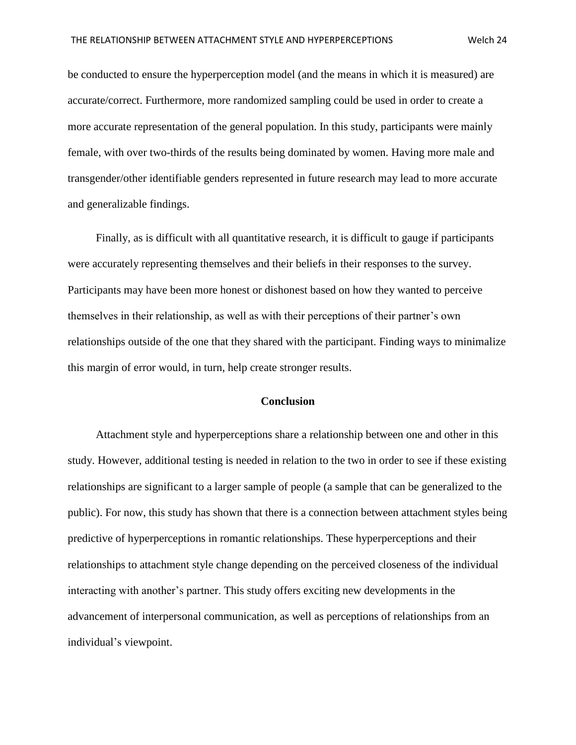be conducted to ensure the hyperperception model (and the means in which it is measured) are accurate/correct. Furthermore, more randomized sampling could be used in order to create a more accurate representation of the general population. In this study, participants were mainly female, with over two-thirds of the results being dominated by women. Having more male and transgender/other identifiable genders represented in future research may lead to more accurate and generalizable findings.

 Finally, as is difficult with all quantitative research, it is difficult to gauge if participants were accurately representing themselves and their beliefs in their responses to the survey. Participants may have been more honest or dishonest based on how they wanted to perceive themselves in their relationship, as well as with their perceptions of their partner's own relationships outside of the one that they shared with the participant. Finding ways to minimalize this margin of error would, in turn, help create stronger results.

#### **Conclusion**

 Attachment style and hyperperceptions share a relationship between one and other in this study. However, additional testing is needed in relation to the two in order to see if these existing relationships are significant to a larger sample of people (a sample that can be generalized to the public). For now, this study has shown that there is a connection between attachment styles being predictive of hyperperceptions in romantic relationships. These hyperperceptions and their relationships to attachment style change depending on the perceived closeness of the individual interacting with another's partner. This study offers exciting new developments in the advancement of interpersonal communication, as well as perceptions of relationships from an individual's viewpoint.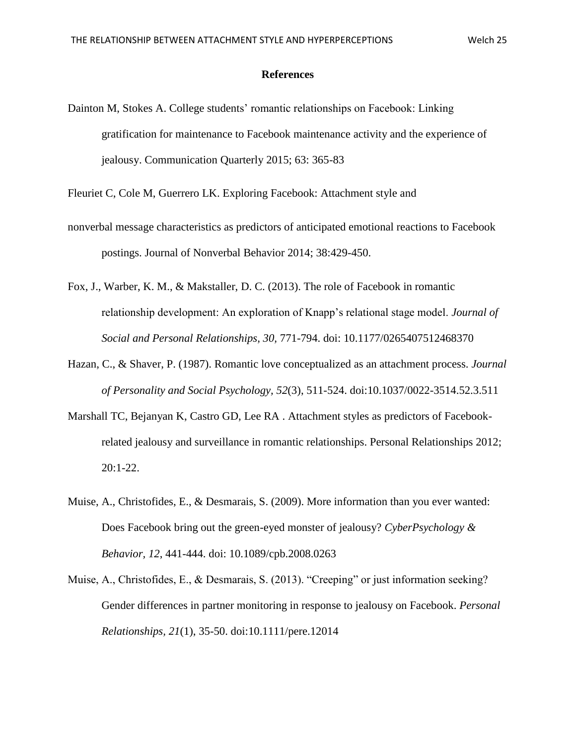#### **References**

Dainton M, Stokes A. College students' romantic relationships on Facebook: Linking gratification for maintenance to Facebook maintenance activity and the experience of jealousy. Communication Quarterly 2015; 63: 365-83

Fleuriet C, Cole M, Guerrero LK. Exploring Facebook: Attachment style and

- nonverbal message characteristics as predictors of anticipated emotional reactions to Facebook postings. Journal of Nonverbal Behavior 2014; 38:429-450.
- Fox, J., Warber, K. M., & Makstaller, D. C. (2013). The role of Facebook in romantic relationship development: An exploration of Knapp's relational stage model. *Journal of Social and Personal Relationships, 30,* 771-794. doi: 10.1177/0265407512468370
- Hazan, C., & Shaver, P. (1987). Romantic love conceptualized as an attachment process. *Journal of Personality and Social Psychology, 52*(3), 511-524. doi:10.1037/0022-3514.52.3.511
- Marshall TC, Bejanyan K, Castro GD, Lee RA . Attachment styles as predictors of Facebookrelated jealousy and surveillance in romantic relationships. Personal Relationships 2012; 20:1-22.
- Muise, A., Christofides, E., & Desmarais, S. (2009). More information than you ever wanted: Does Facebook bring out the green-eyed monster of jealousy? *CyberPsychology & Behavior, 12*, 441-444. doi: 10.1089/cpb.2008.0263
- Muise, A., Christofides, E., & Desmarais, S. (2013). "Creeping" or just information seeking? Gender differences in partner monitoring in response to jealousy on Facebook. *Personal Relationships, 21*(1), 35-50. doi:10.1111/pere.12014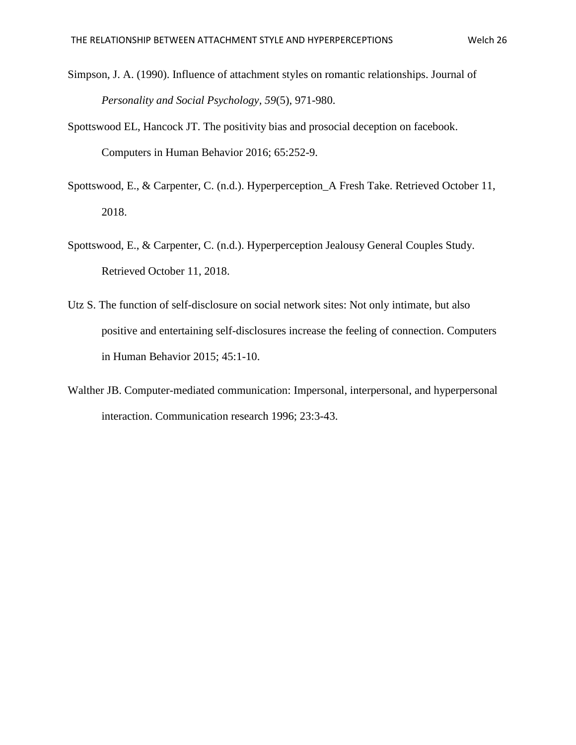- Simpson, J. A. (1990). Influence of attachment styles on romantic relationships. Journal of *Personality and Social Psychology, 59*(5), 971-980.
- Spottswood EL, Hancock JT. The positivity bias and prosocial deception on facebook. Computers in Human Behavior 2016; 65:252-9.
- Spottswood, E., & Carpenter, C. (n.d.). Hyperperception\_A Fresh Take. Retrieved October 11, 2018.
- Spottswood, E., & Carpenter, C. (n.d.). Hyperperception Jealousy General Couples Study. Retrieved October 11, 2018.
- Utz S. The function of self-disclosure on social network sites: Not only intimate, but also positive and entertaining self-disclosures increase the feeling of connection. Computers in Human Behavior 2015; 45:1-10.
- Walther JB. Computer-mediated communication: Impersonal, interpersonal, and hyperpersonal interaction. Communication research 1996; 23:3-43.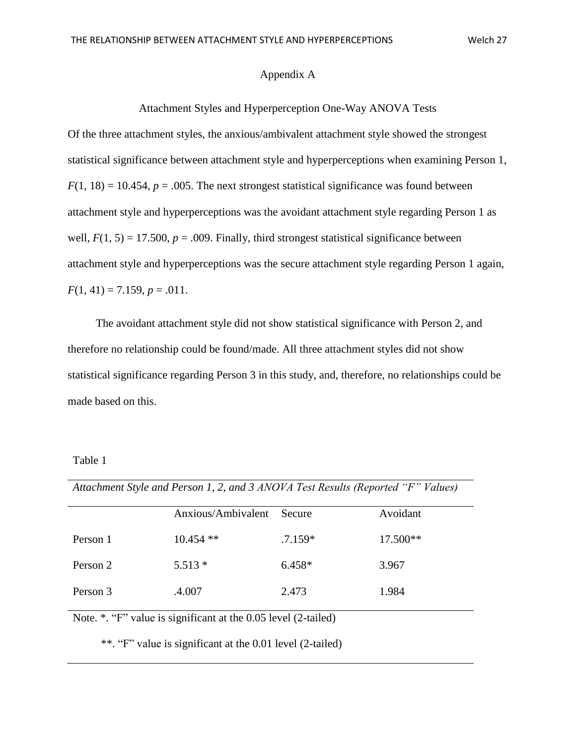#### Appendix A

#### Attachment Styles and Hyperperception One-Way ANOVA Tests

Of the three attachment styles, the anxious/ambivalent attachment style showed the strongest statistical significance between attachment style and hyperperceptions when examining Person 1,  $F(1, 18) = 10.454$ ,  $p = .005$ . The next strongest statistical significance was found between attachment style and hyperperceptions was the avoidant attachment style regarding Person 1 as well,  $F(1, 5) = 17.500$ ,  $p = .009$ . Finally, third strongest statistical significance between attachment style and hyperperceptions was the secure attachment style regarding Person 1 again,  $F(1, 41) = 7.159, p = .011.$ 

 The avoidant attachment style did not show statistical significance with Person 2, and therefore no relationship could be found/made. All three attachment styles did not show statistical significance regarding Person 3 in this study, and, therefore, no relationships could be made based on this.

Table 1

*Attachment Style and Person 1, 2, and 3 ANOVA Test Results (Reported "F" Values)*

|          | Anxious/Ambivalent | Secure    | Avoidant   |
|----------|--------------------|-----------|------------|
| Person 1 | $10.454$ **        | $.7.159*$ | $17.500**$ |
| Person 2 | $5.513*$           | $6.458*$  | 3.967      |
| Person 3 | .4.007             | 2.473     | 1.984      |

Note. \*. "F" value is significant at the 0.05 level (2-tailed)

\*\*. "F" value is significant at the 0.01 level (2-tailed)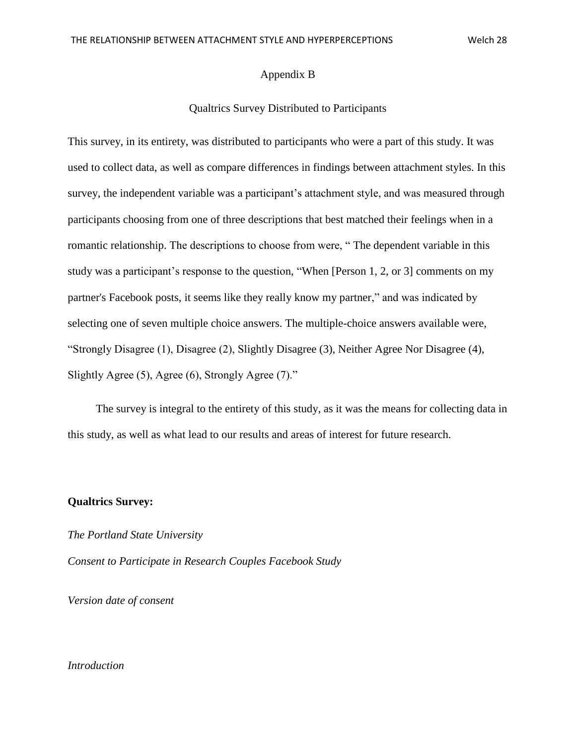#### Appendix B

#### Qualtrics Survey Distributed to Participants

This survey, in its entirety, was distributed to participants who were a part of this study. It was used to collect data, as well as compare differences in findings between attachment styles. In this survey, the independent variable was a participant's attachment style, and was measured through participants choosing from one of three descriptions that best matched their feelings when in a romantic relationship. The descriptions to choose from were, " The dependent variable in this study was a participant's response to the question, "When [Person 1, 2, or 3] comments on my partner's Facebook posts, it seems like they really know my partner," and was indicated by selecting one of seven multiple choice answers. The multiple-choice answers available were, "Strongly Disagree (1), Disagree (2), Slightly Disagree (3), Neither Agree Nor Disagree (4), Slightly Agree (5), Agree (6), Strongly Agree (7)."

 The survey is integral to the entirety of this study, as it was the means for collecting data in this study, as well as what lead to our results and areas of interest for future research.

#### **Qualtrics Survey:**

*The Portland State University Consent to Participate in Research Couples Facebook Study* 

*Version date of consent*

#### *Introduction*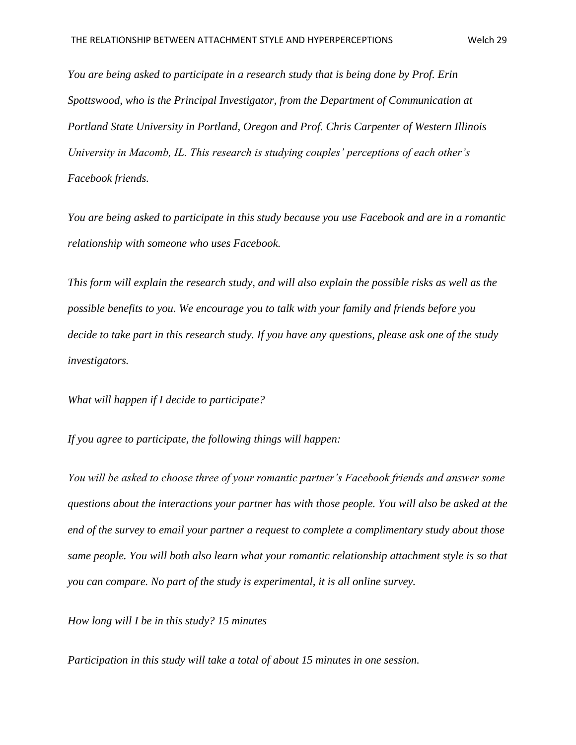*You are being asked to participate in a research study that is being done by Prof. Erin Spottswood, who is the Principal Investigator, from the Department of Communication at Portland State University in Portland, Oregon and Prof. Chris Carpenter of Western Illinois University in Macomb, IL. This research is studying couples' perceptions of each other's Facebook friends.* 

*You are being asked to participate in this study because you use Facebook and are in a romantic relationship with someone who uses Facebook.*

*This form will explain the research study, and will also explain the possible risks as well as the possible benefits to you. We encourage you to talk with your family and friends before you decide to take part in this research study. If you have any questions, please ask one of the study investigators.* 

*What will happen if I decide to participate?* 

*If you agree to participate, the following things will happen:*

*You will be asked to choose three of your romantic partner's Facebook friends and answer some questions about the interactions your partner has with those people. You will also be asked at the end of the survey to email your partner a request to complete a complimentary study about those same people. You will both also learn what your romantic relationship attachment style is so that you can compare. No part of the study is experimental, it is all online survey.*

*How long will I be in this study? 15 minutes* 

*Participation in this study will take a total of about 15 minutes in one session.*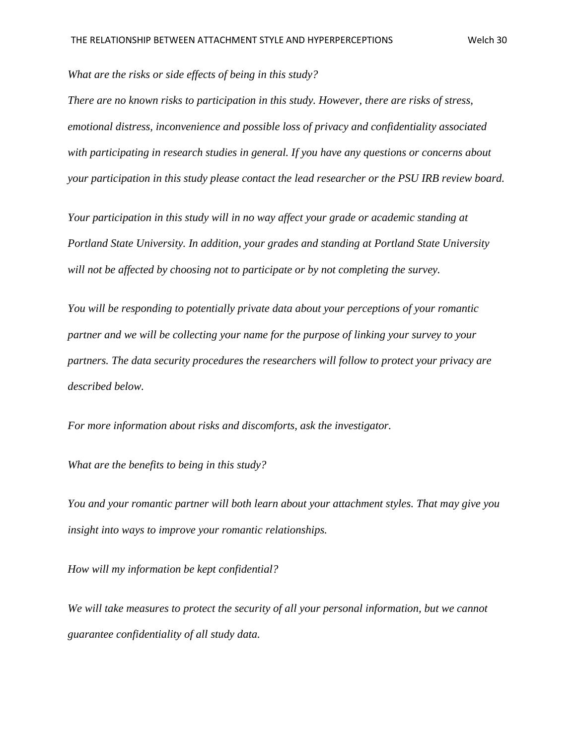*What are the risks or side effects of being in this study?* 

*There are no known risks to participation in this study. However, there are risks of stress, emotional distress, inconvenience and possible loss of privacy and confidentiality associated with participating in research studies in general. If you have any questions or concerns about your participation in this study please contact the lead researcher or the PSU IRB review board.* 

*Your participation in this study will in no way affect your grade or academic standing at Portland State University. In addition, your grades and standing at Portland State University will not be affected by choosing not to participate or by not completing the survey.* 

*You will be responding to potentially private data about your perceptions of your romantic partner and we will be collecting your name for the purpose of linking your survey to your partners. The data security procedures the researchers will follow to protect your privacy are described below.*

*For more information about risks and discomforts, ask the investigator.* 

*What are the benefits to being in this study?* 

*You and your romantic partner will both learn about your attachment styles. That may give you insight into ways to improve your romantic relationships.*

*How will my information be kept confidential?* 

We will take measures to protect the security of all your personal information, but we cannot *guarantee confidentiality of all study data.*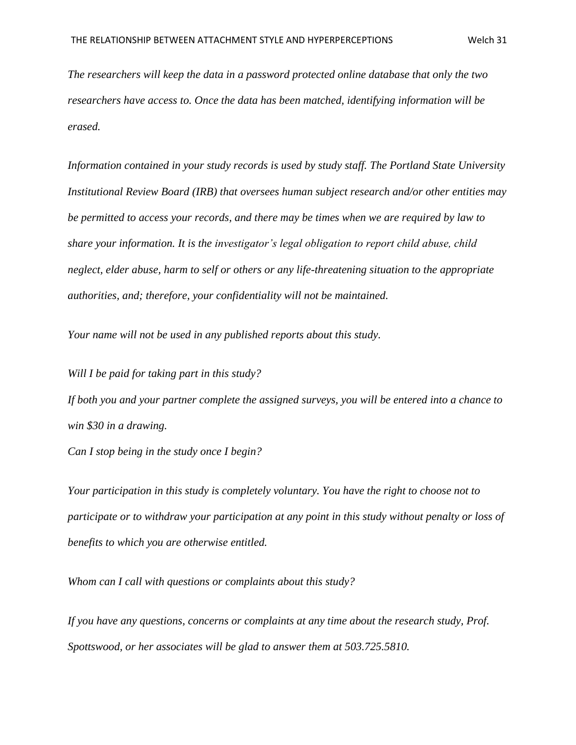*The researchers will keep the data in a password protected online database that only the two researchers have access to. Once the data has been matched, identifying information will be erased.*

*Information contained in your study records is used by study staff. The Portland State University Institutional Review Board (IRB) that oversees human subject research and/or other entities may be permitted to access your records, and there may be times when we are required by law to share your information. It is the investigator's legal obligation to report child abuse, child neglect, elder abuse, harm to self or others or any life-threatening situation to the appropriate authorities, and; therefore, your confidentiality will not be maintained.* 

*Your name will not be used in any published reports about this study.*

*Will I be paid for taking part in this study?* 

*If both you and your partner complete the assigned surveys, you will be entered into a chance to win \$30 in a drawing.* 

*Can I stop being in the study once I begin?* 

*Your participation in this study is completely voluntary. You have the right to choose not to participate or to withdraw your participation at any point in this study without penalty or loss of benefits to which you are otherwise entitled.* 

*Whom can I call with questions or complaints about this study?* 

*If you have any questions, concerns or complaints at any time about the research study, Prof. Spottswood, or her associates will be glad to answer them at 503.725.5810.*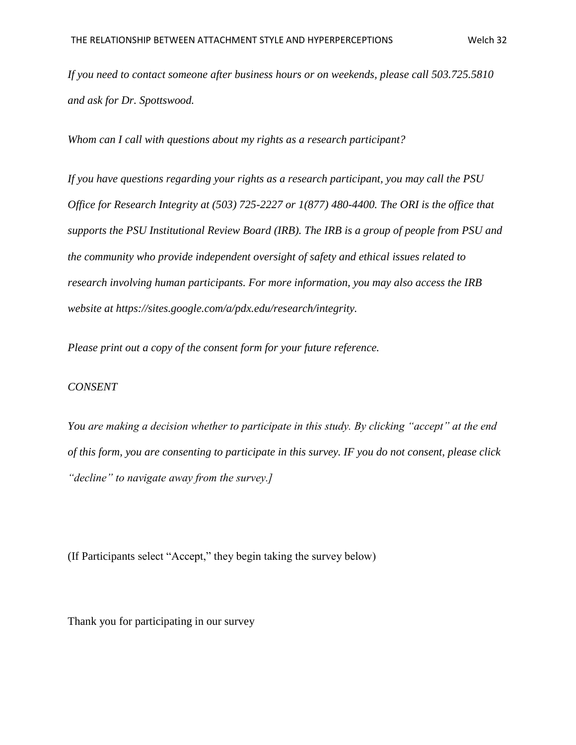*If you need to contact someone after business hours or on weekends, please call 503.725.5810 and ask for Dr. Spottswood.* 

*Whom can I call with questions about my rights as a research participant?* 

*If you have questions regarding your rights as a research participant, you may call the PSU Office for Research Integrity at (503) 725-2227 or 1(877) 480-4400. The ORI is the office that supports the PSU Institutional Review Board (IRB). The IRB is a group of people from PSU and the community who provide independent oversight of safety and ethical issues related to research involving human participants. For more information, you may also access the IRB website at https://sites.google.com/a/pdx.edu/research/integrity.*

*Please print out a copy of the consent form for your future reference.*

#### *CONSENT*

*You are making a decision whether to participate in this study. By clicking "accept" at the end of this form, you are consenting to participate in this survey. IF you do not consent, please click "decline" to navigate away from the survey.]*

(If Participants select "Accept," they begin taking the survey below)

Thank you for participating in our survey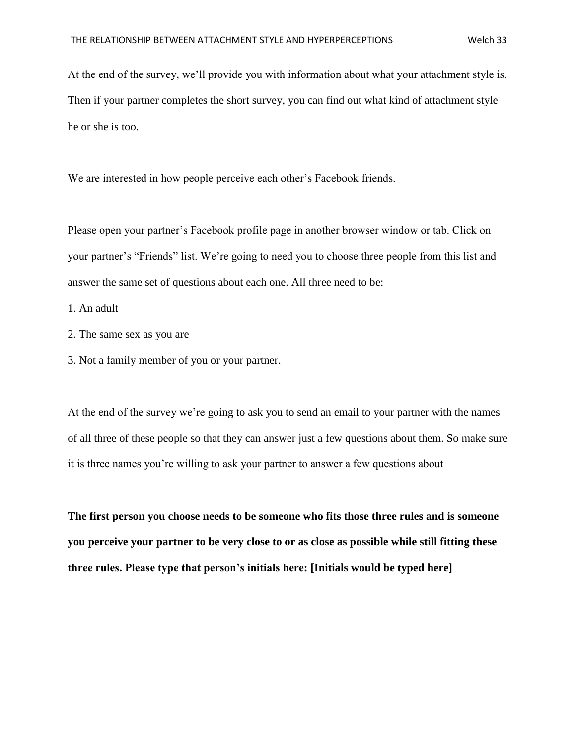At the end of the survey, we'll provide you with information about what your attachment style is. Then if your partner completes the short survey, you can find out what kind of attachment style he or she is too.

We are interested in how people perceive each other's Facebook friends.

Please open your partner's Facebook profile page in another browser window or tab. Click on your partner's "Friends" list. We're going to need you to choose three people from this list and answer the same set of questions about each one. All three need to be:

1. An adult

- 2. The same sex as you are
- 3. Not a family member of you or your partner.

At the end of the survey we're going to ask you to send an email to your partner with the names of all three of these people so that they can answer just a few questions about them. So make sure it is three names you're willing to ask your partner to answer a few questions about

**The first person you choose needs to be someone who fits those three rules and is someone you perceive your partner to be very close to or as close as possible while still fitting these three rules. Please type that person's initials here: [Initials would be typed here]**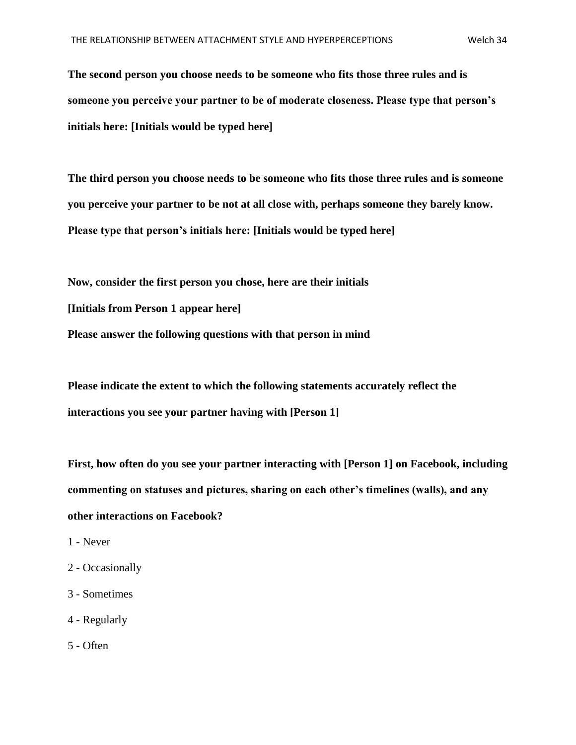**The second person you choose needs to be someone who fits those three rules and is someone you perceive your partner to be of moderate closeness. Please type that person's initials here: [Initials would be typed here]**

**The third person you choose needs to be someone who fits those three rules and is someone you perceive your partner to be not at all close with, perhaps someone they barely know. Please type that person's initials here: [Initials would be typed here]**

**Now, consider the first person you chose, here are their initials [Initials from Person 1 appear here] Please answer the following questions with that person in mind**

**Please indicate the extent to which the following statements accurately reflect the interactions you see your partner having with [Person 1]**

**First, how often do you see your partner interacting with [Person 1] on Facebook, including commenting on statuses and pictures, sharing on each other's timelines (walls), and any other interactions on Facebook?**

- 1 Never
- 2 Occasionally
- 3 Sometimes
- 4 Regularly
- 5 Often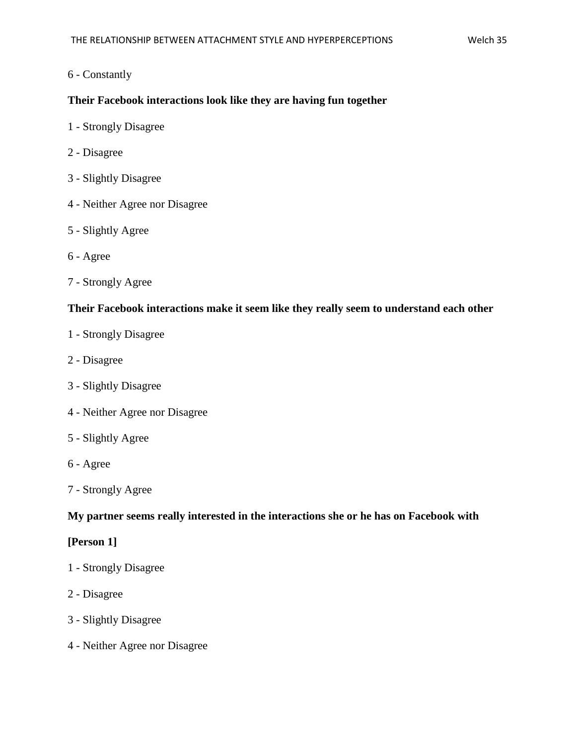# 6 - Constantly

# **Their Facebook interactions look like they are having fun together**

- 1 Strongly Disagree
- 2 Disagree
- 3 Slightly Disagree
- 4 Neither Agree nor Disagree
- 5 Slightly Agree
- 6 Agree
- 7 Strongly Agree

#### **Their Facebook interactions make it seem like they really seem to understand each other**

- 1 Strongly Disagree
- 2 Disagree
- 3 Slightly Disagree
- 4 Neither Agree nor Disagree
- 5 Slightly Agree
- 6 Agree
- 7 Strongly Agree

#### **My partner seems really interested in the interactions she or he has on Facebook with**

# **[Person 1]**

- 1 Strongly Disagree
- 2 Disagree
- 3 Slightly Disagree
- 4 Neither Agree nor Disagree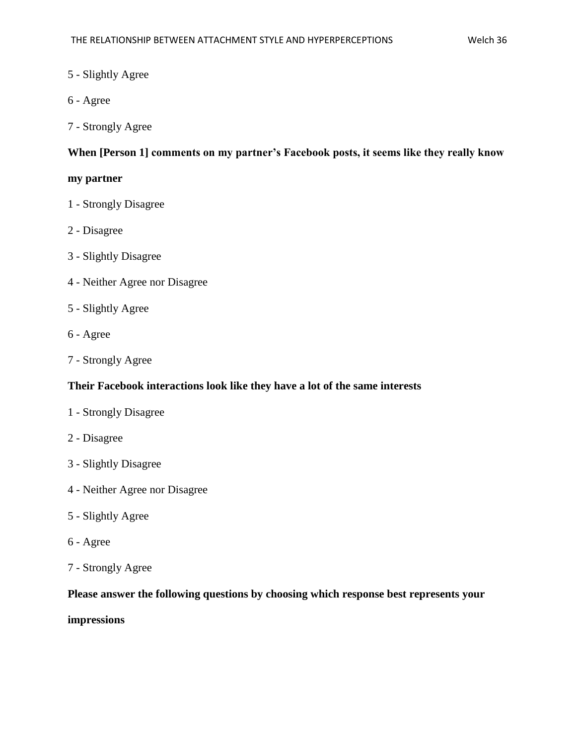# 5 - Slightly Agree

- 6 Agree
- 7 Strongly Agree

# **When [Person 1] comments on my partner's Facebook posts, it seems like they really know**

# **my partner**

- 1 Strongly Disagree
- 2 Disagree
- 3 Slightly Disagree
- 4 Neither Agree nor Disagree
- 5 Slightly Agree
- 6 Agree
- 7 Strongly Agree

#### **Their Facebook interactions look like they have a lot of the same interests**

- 1 Strongly Disagree
- 2 Disagree
- 3 Slightly Disagree
- 4 Neither Agree nor Disagree
- 5 Slightly Agree
- 6 Agree
- 7 Strongly Agree

# **Please answer the following questions by choosing which response best represents your**

#### **impressions**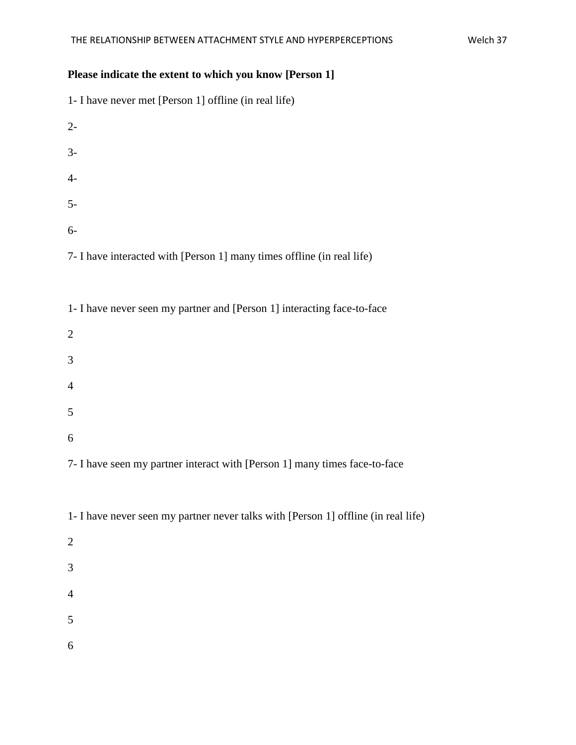# **Please indicate the extent to which you know [Person 1]**

| 1- I have never met [Person 1] offline (in real life)                              |
|------------------------------------------------------------------------------------|
| $2-$                                                                               |
| $3-$                                                                               |
| $4-$                                                                               |
| $5-$                                                                               |
| $6-$                                                                               |
| 7- I have interacted with [Person 1] many times offline (in real life)             |
| 1- I have never seen my partner and [Person 1] interacting face-to-face            |
| $\overline{2}$                                                                     |
| 3                                                                                  |
| $\overline{4}$                                                                     |
| 5                                                                                  |
| 6                                                                                  |
| 7- I have seen my partner interact with [Person 1] many times face-to-face         |
| 1- I have never seen my partner never talks with [Person 1] offline (in real life) |
| $\mathbf{2}$                                                                       |
| 3                                                                                  |
| $\overline{4}$                                                                     |
| 5                                                                                  |

6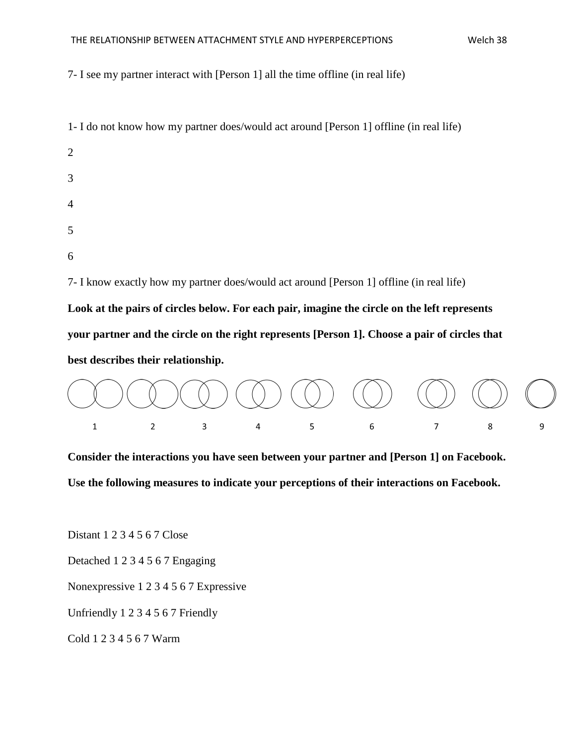#### THE RELATIONSHIP BETWEEN ATTACHMENT STYLE AND HYPERPERCEPTIONS Welch 38

7- I see my partner interact with [Person 1] all the time offline (in real life)

| 1- I do not know how my partner does/would act around [Person 1] offline (in real life)      |  |  |  |  |
|----------------------------------------------------------------------------------------------|--|--|--|--|
| 2                                                                                            |  |  |  |  |
| 3                                                                                            |  |  |  |  |
| $\overline{4}$                                                                               |  |  |  |  |
| 5                                                                                            |  |  |  |  |
| 6                                                                                            |  |  |  |  |
| 7- I know exactly how my partner does/would act around [Person 1] offline (in real life)     |  |  |  |  |
| Look at the pairs of circles below. For each pair, imagine the circle on the left represents |  |  |  |  |

**your partner and the circle on the right represents [Person 1]. Choose a pair of circles that** 

**best describes their relationship.**



**Consider the interactions you have seen between your partner and [Person 1] on Facebook. Use the following measures to indicate your perceptions of their interactions on Facebook.**

Distant 1 2 3 4 5 6 7 Close

Detached 1 2 3 4 5 6 7 Engaging

Nonexpressive 1 2 3 4 5 6 7 Expressive

Unfriendly 1 2 3 4 5 6 7 Friendly

Cold 1 2 3 4 5 6 7 Warm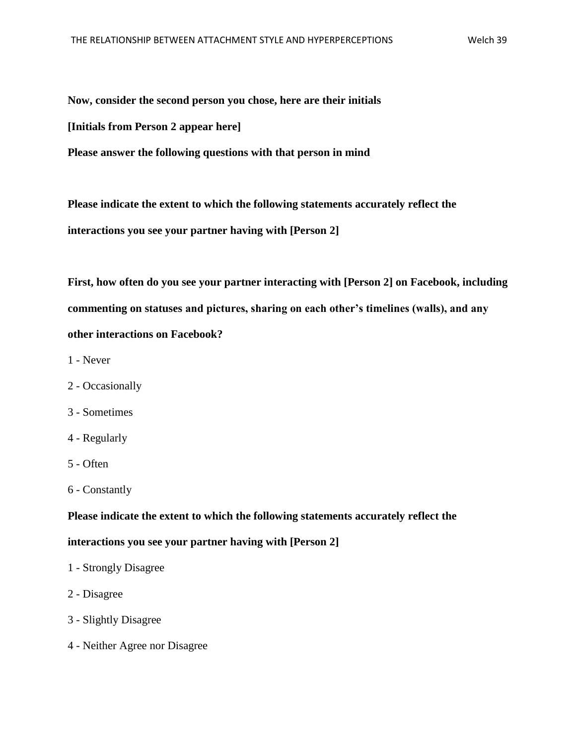**Now, consider the second person you chose, here are their initials [Initials from Person 2 appear here] Please answer the following questions with that person in mind**

**Please indicate the extent to which the following statements accurately reflect the interactions you see your partner having with [Person 2]**

**First, how often do you see your partner interacting with [Person 2] on Facebook, including commenting on statuses and pictures, sharing on each other's timelines (walls), and any other interactions on Facebook?**

- 1 Never
- 2 Occasionally
- 3 Sometimes
- 4 Regularly
- 5 Often
- 6 Constantly

# **Please indicate the extent to which the following statements accurately reflect the**

# **interactions you see your partner having with [Person 2]**

- 1 Strongly Disagree
- 2 Disagree
- 3 Slightly Disagree
- 4 Neither Agree nor Disagree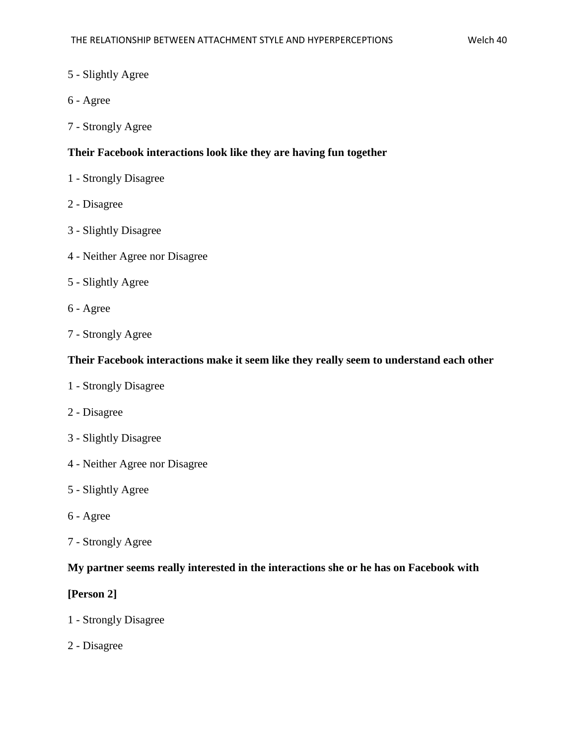# 5 - Slightly Agree

- 6 Agree
- 7 Strongly Agree

# **Their Facebook interactions look like they are having fun together**

- 1 Strongly Disagree
- 2 Disagree
- 3 Slightly Disagree
- 4 Neither Agree nor Disagree
- 5 Slightly Agree
- 6 Agree
- 7 Strongly Agree

#### **Their Facebook interactions make it seem like they really seem to understand each other**

- 1 Strongly Disagree
- 2 Disagree
- 3 Slightly Disagree
- 4 Neither Agree nor Disagree
- 5 Slightly Agree
- 6 Agree
- 7 Strongly Agree

#### **My partner seems really interested in the interactions she or he has on Facebook with**

#### **[Person 2]**

- 1 Strongly Disagree
- 2 Disagree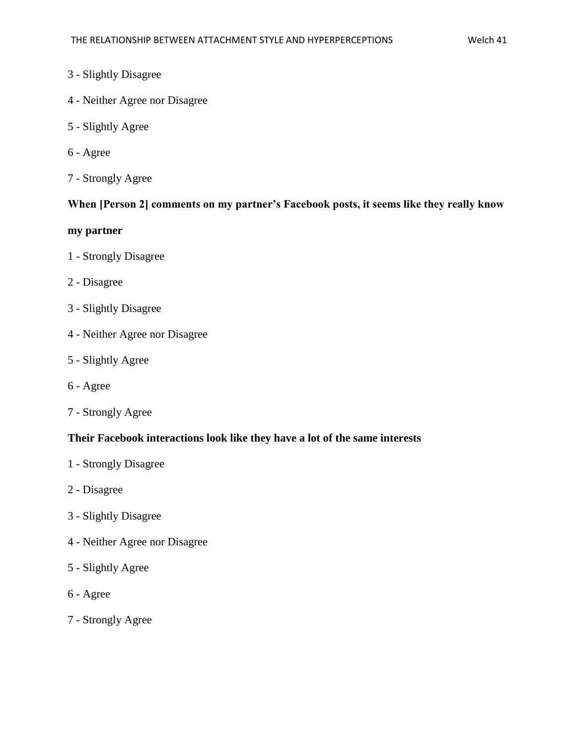# 3 - Slightly Disagree

- 4 Neither Agree nor Disagree
- 5 Slightly Agree
- 6 Agree
- 7 Strongly Agree

# **When [Person 2] comments on my partner's Facebook posts, it seems like they really know**

# **my partner**

- 1 Strongly Disagree
- 2 Disagree
- 3 Slightly Disagree
- 4 Neither Agree nor Disagree
- 5 Slightly Agree
- 6 Agree
- 7 Strongly Agree

#### **Their Facebook interactions look like they have a lot of the same interests**

- 1 Strongly Disagree
- 2 Disagree
- 3 Slightly Disagree
- 4 Neither Agree nor Disagree
- 5 Slightly Agree
- 6 Agree
- 7 Strongly Agree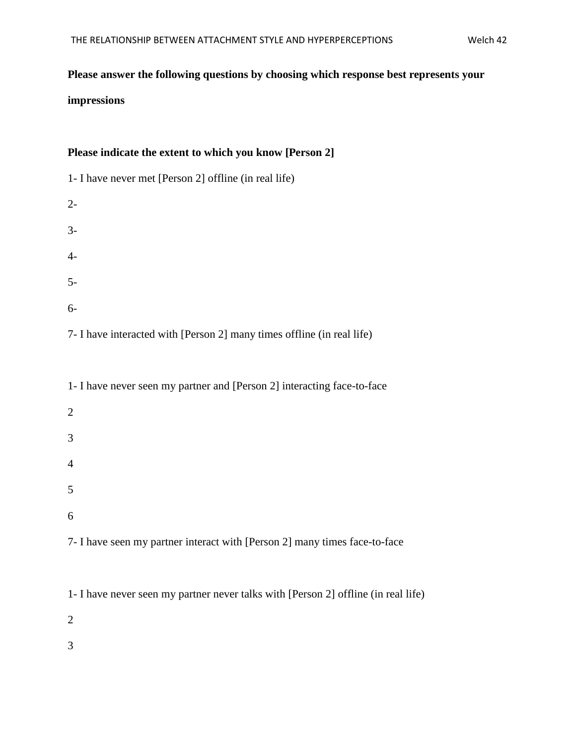# **Please answer the following questions by choosing which response best represents your**

#### **impressions**

# **Please indicate the extent to which you know [Person 2]**

| 1- I have never met [Person 2] offline (in real life) |
|-------------------------------------------------------|
| $2 -$                                                 |
| $3-$                                                  |
| $4-$                                                  |
| $5-$                                                  |
| $6-$                                                  |

7- I have interacted with [Person 2] many times offline (in real life)

| 1- I have never seen my partner and [Person 2] interacting face-to-face |
|-------------------------------------------------------------------------|
| $\overline{2}$                                                          |
| 3                                                                       |
| 4                                                                       |
| 5                                                                       |
| 6                                                                       |
|                                                                         |

7- I have seen my partner interact with [Person 2] many times face-to-face

1- I have never seen my partner never talks with [Person 2] offline (in real life)

2

3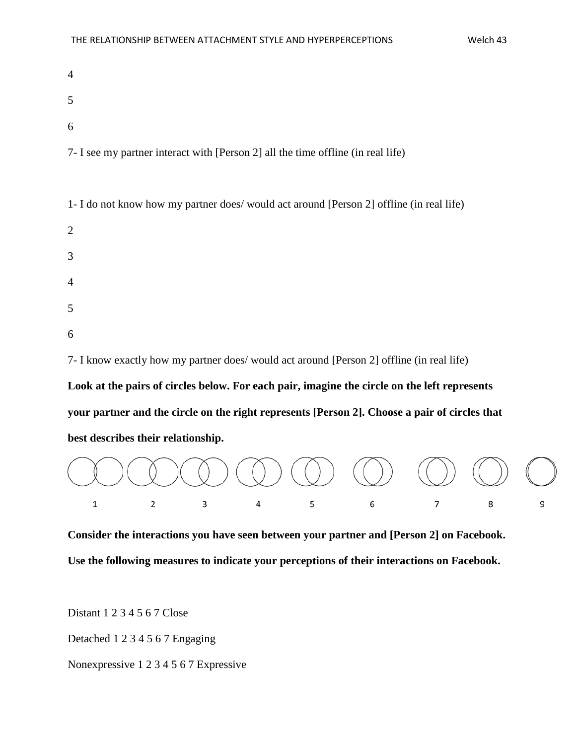| $\overline{4}$                                                                   |  |
|----------------------------------------------------------------------------------|--|
| 5                                                                                |  |
| 6                                                                                |  |
| 7- I see my partner interact with [Person 2] all the time offline (in real life) |  |

1- I do not know how my partner does/ would act around [Person 2] offline (in real life)

| $\overline{2}$ |  |  |  |
|----------------|--|--|--|
| 3              |  |  |  |
| $\overline{4}$ |  |  |  |
| 5              |  |  |  |
| 6              |  |  |  |

7- I know exactly how my partner does/ would act around [Person 2] offline (in real life)

**Look at the pairs of circles below. For each pair, imagine the circle on the left represents your partner and the circle on the right represents [Person 2]. Choose a pair of circles that best describes their relationship.**



**Consider the interactions you have seen between your partner and [Person 2] on Facebook. Use the following measures to indicate your perceptions of their interactions on Facebook.**

Distant 1 2 3 4 5 6 7 Close

Detached 1 2 3 4 5 6 7 Engaging

Nonexpressive 1 2 3 4 5 6 7 Expressive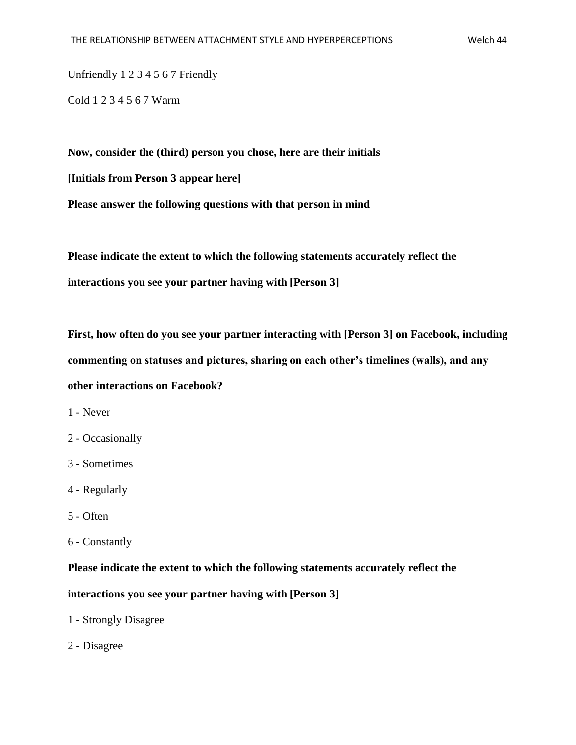Unfriendly 1 2 3 4 5 6 7 Friendly

Cold 1 2 3 4 5 6 7 Warm

**Now, consider the (third) person you chose, here are their initials [Initials from Person 3 appear here] Please answer the following questions with that person in mind**

**Please indicate the extent to which the following statements accurately reflect the interactions you see your partner having with [Person 3]**

**First, how often do you see your partner interacting with [Person 3] on Facebook, including commenting on statuses and pictures, sharing on each other's timelines (walls), and any other interactions on Facebook?**

- 1 Never
- 2 Occasionally
- 3 Sometimes
- 4 Regularly
- 5 Often
- 6 Constantly

**Please indicate the extent to which the following statements accurately reflect the** 

**interactions you see your partner having with [Person 3]**

- 1 Strongly Disagree
- 2 Disagree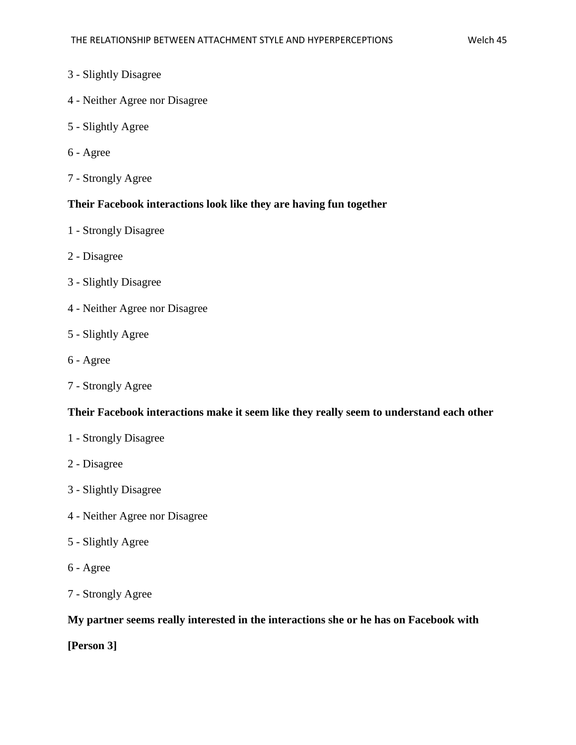# 3 - Slightly Disagree

- 4 Neither Agree nor Disagree
- 5 Slightly Agree
- 6 Agree
- 7 Strongly Agree

#### **Their Facebook interactions look like they are having fun together**

- 1 Strongly Disagree
- 2 Disagree
- 3 Slightly Disagree
- 4 Neither Agree nor Disagree
- 5 Slightly Agree
- 6 Agree
- 7 Strongly Agree

#### **Their Facebook interactions make it seem like they really seem to understand each other**

- 1 Strongly Disagree
- 2 Disagree
- 3 Slightly Disagree
- 4 Neither Agree nor Disagree
- 5 Slightly Agree
- 6 Agree
- 7 Strongly Agree

# **My partner seems really interested in the interactions she or he has on Facebook with**

**[Person 3]**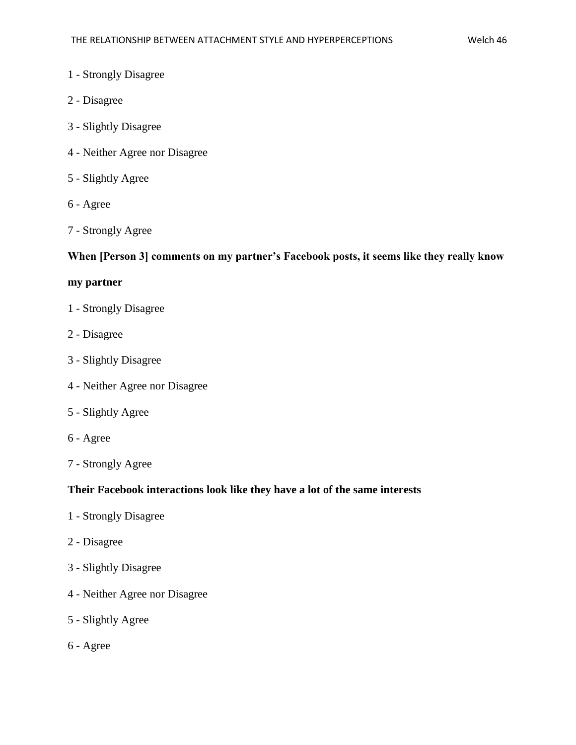- 1 Strongly Disagree
- 2 Disagree
- 3 Slightly Disagree
- 4 Neither Agree nor Disagree
- 5 Slightly Agree
- 6 Agree
- 7 Strongly Agree

#### **When [Person 3] comments on my partner's Facebook posts, it seems like they really know**

#### **my partner**

- 1 Strongly Disagree
- 2 Disagree
- 3 Slightly Disagree
- 4 Neither Agree nor Disagree
- 5 Slightly Agree
- 6 Agree
- 7 Strongly Agree

#### **Their Facebook interactions look like they have a lot of the same interests**

- 1 Strongly Disagree
- 2 Disagree
- 3 Slightly Disagree
- 4 Neither Agree nor Disagree
- 5 Slightly Agree
- 6 Agree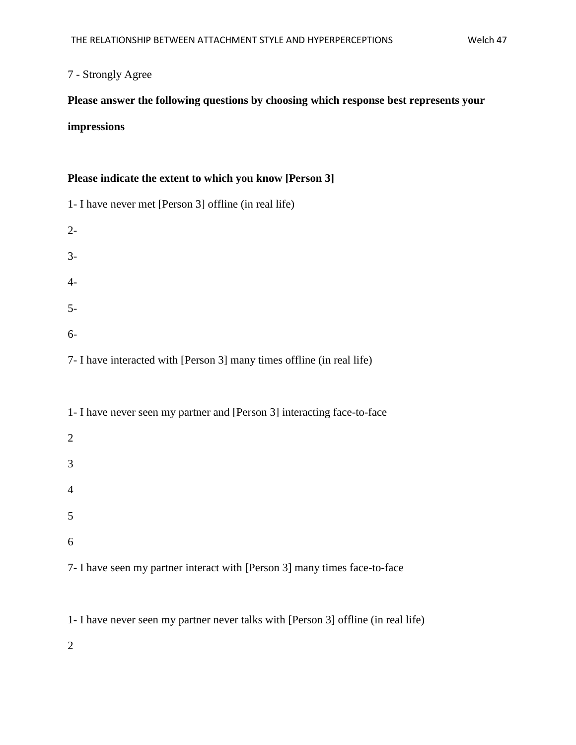# 7 - Strongly Agree

# **Please answer the following questions by choosing which response best represents your**

# **impressions**

# **Please indicate the extent to which you know [Person 3]**

6

5

7- I have seen my partner interact with [Person 3] many times face-to-face

1- I have never seen my partner never talks with [Person 3] offline (in real life)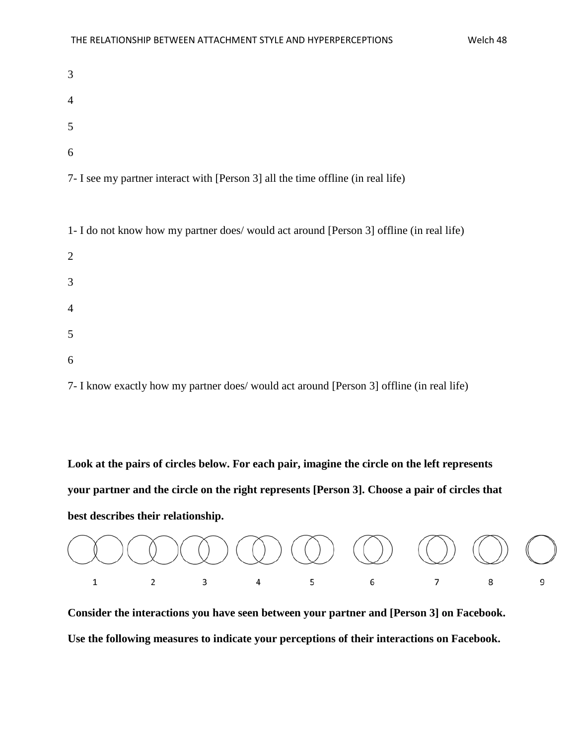| 3              |  |  |  |
|----------------|--|--|--|
| $\overline{4}$ |  |  |  |
| $\overline{5}$ |  |  |  |
| 6              |  |  |  |

7- I see my partner interact with [Person 3] all the time offline (in real life)

1- I do not know how my partner does/ would act around [Person 3] offline (in real life)

| 2              |  |  |  |
|----------------|--|--|--|
| 3              |  |  |  |
| $\overline{4}$ |  |  |  |
| $\overline{5}$ |  |  |  |
| 6              |  |  |  |

7- I know exactly how my partner does/ would act around [Person 3] offline (in real life)

**Look at the pairs of circles below. For each pair, imagine the circle on the left represents your partner and the circle on the right represents [Person 3]. Choose a pair of circles that best describes their relationship.**



**Consider the interactions you have seen between your partner and [Person 3] on Facebook. Use the following measures to indicate your perceptions of their interactions on Facebook.**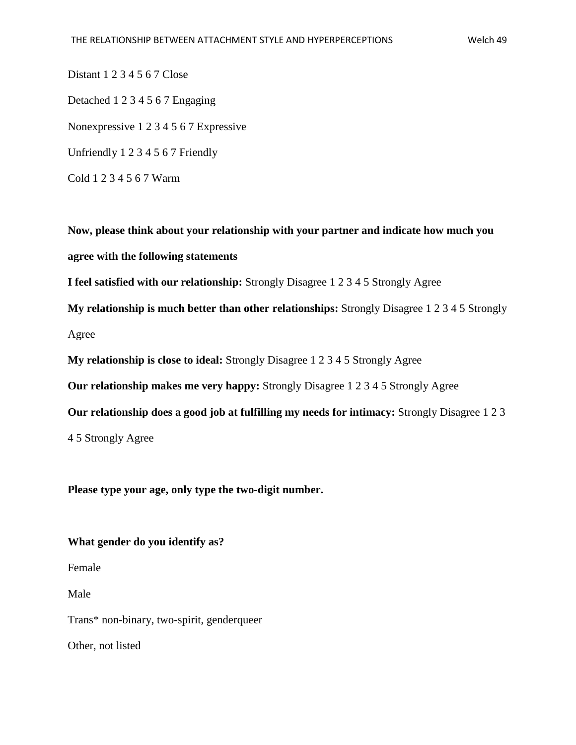Distant 1 2 3 4 5 6 7 Close Detached 1 2 3 4 5 6 7 Engaging Nonexpressive 1 2 3 4 5 6 7 Expressive Unfriendly 1 2 3 4 5 6 7 Friendly Cold 1 2 3 4 5 6 7 Warm

**Now, please think about your relationship with your partner and indicate how much you agree with the following statements I feel satisfied with our relationship:** Strongly Disagree 1 2 3 4 5 Strongly Agree **My relationship is much better than other relationships:** Strongly Disagree 1 2 3 4 5 Strongly Agree

**My relationship is close to ideal:** Strongly Disagree 1 2 3 4 5 Strongly Agree

**Our relationship makes me very happy:** Strongly Disagree 1 2 3 4 5 Strongly Agree

**Our relationship does a good job at fulfilling my needs for intimacy:** Strongly Disagree 1 2 3

4 5 Strongly Agree

**Please type your age, only type the two-digit number.**

**What gender do you identify as?**

Female

Male

Trans\* non-binary, two-spirit, genderqueer

Other, not listed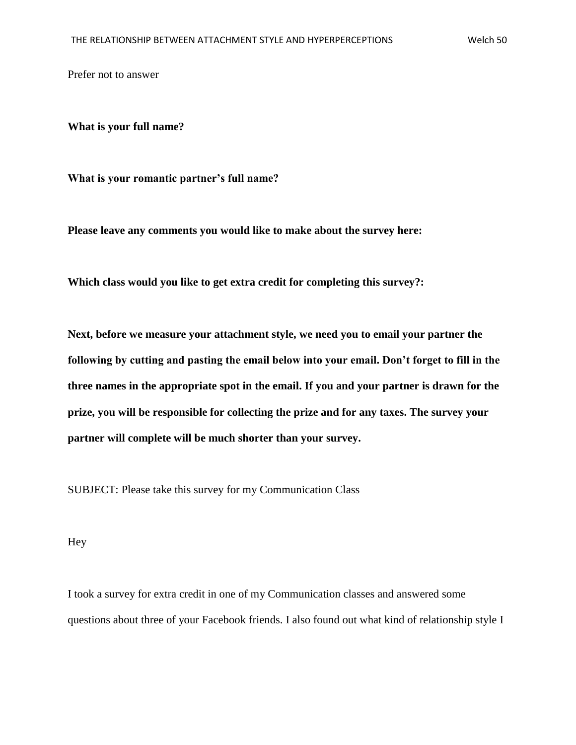Prefer not to answer

**What is your full name?**

**What is your romantic partner's full name?**

**Please leave any comments you would like to make about the survey here:**

**Which class would you like to get extra credit for completing this survey?:**

**Next, before we measure your attachment style, we need you to email your partner the following by cutting and pasting the email below into your email. Don't forget to fill in the three names in the appropriate spot in the email. If you and your partner is drawn for the prize, you will be responsible for collecting the prize and for any taxes. The survey your partner will complete will be much shorter than your survey.**

SUBJECT: Please take this survey for my Communication Class

Hey

I took a survey for extra credit in one of my Communication classes and answered some questions about three of your Facebook friends. I also found out what kind of relationship style I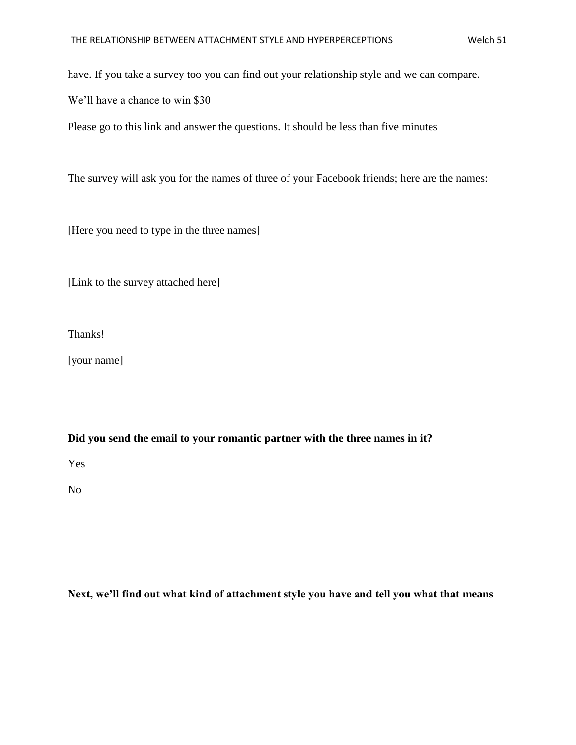have. If you take a survey too you can find out your relationship style and we can compare.

We'll have a chance to win \$30

Please go to this link and answer the questions. It should be less than five minutes

The survey will ask you for the names of three of your Facebook friends; here are the names:

[Here you need to type in the three names]

[Link to the survey attached here]

Thanks!

[your name]

**Did you send the email to your romantic partner with the three names in it?**

Yes

No

**Next, we'll find out what kind of attachment style you have and tell you what that means**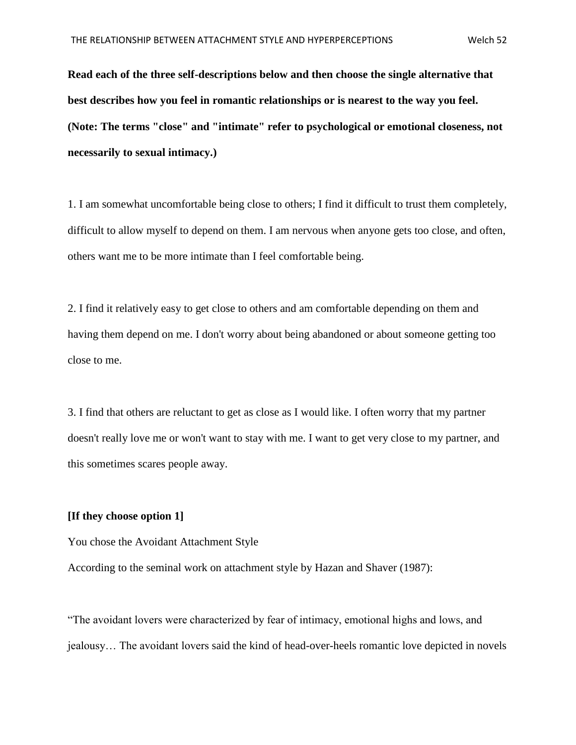**Read each of the three self-descriptions below and then choose the single alternative that best describes how you feel in romantic relationships or is nearest to the way you feel. (Note: The terms "close" and "intimate" refer to psychological or emotional closeness, not necessarily to sexual intimacy.)**

1. I am somewhat uncomfortable being close to others; I find it difficult to trust them completely, difficult to allow myself to depend on them. I am nervous when anyone gets too close, and often, others want me to be more intimate than I feel comfortable being.

2. I find it relatively easy to get close to others and am comfortable depending on them and having them depend on me. I don't worry about being abandoned or about someone getting too close to me.

3. I find that others are reluctant to get as close as I would like. I often worry that my partner doesn't really love me or won't want to stay with me. I want to get very close to my partner, and this sometimes scares people away.

#### **[If they choose option 1]**

You chose the Avoidant Attachment Style

According to the seminal work on attachment style by Hazan and Shaver (1987):

"The avoidant lovers were characterized by fear of intimacy, emotional highs and lows, and jealousy… The avoidant lovers said the kind of head-over-heels romantic love depicted in novels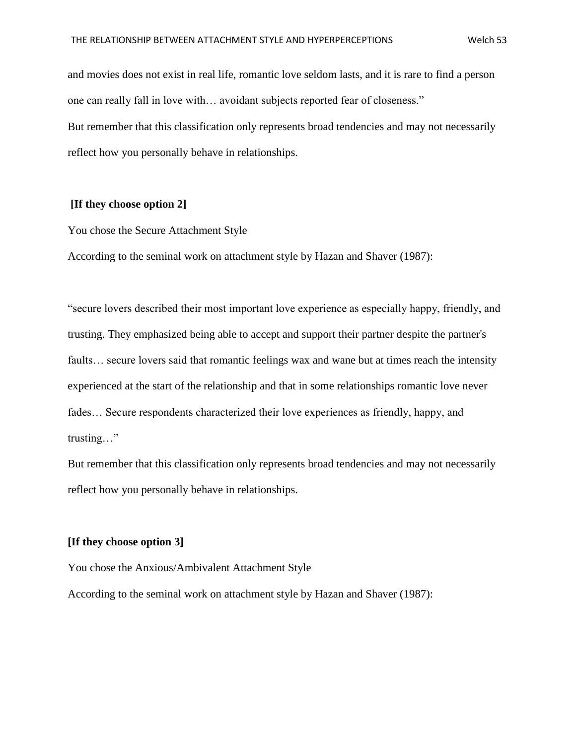and movies does not exist in real life, romantic love seldom lasts, and it is rare to find a person one can really fall in love with… avoidant subjects reported fear of closeness." But remember that this classification only represents broad tendencies and may not necessarily reflect how you personally behave in relationships.

#### **[If they choose option 2]**

You chose the Secure Attachment Style

According to the seminal work on attachment style by Hazan and Shaver (1987):

"secure lovers described their most important love experience as especially happy, friendly, and trusting. They emphasized being able to accept and support their partner despite the partner's faults… secure lovers said that romantic feelings wax and wane but at times reach the intensity experienced at the start of the relationship and that in some relationships romantic love never fades… Secure respondents characterized their love experiences as friendly, happy, and trusting…"

But remember that this classification only represents broad tendencies and may not necessarily reflect how you personally behave in relationships.

#### **[If they choose option 3]**

You chose the Anxious/Ambivalent Attachment Style

According to the seminal work on attachment style by Hazan and Shaver (1987):